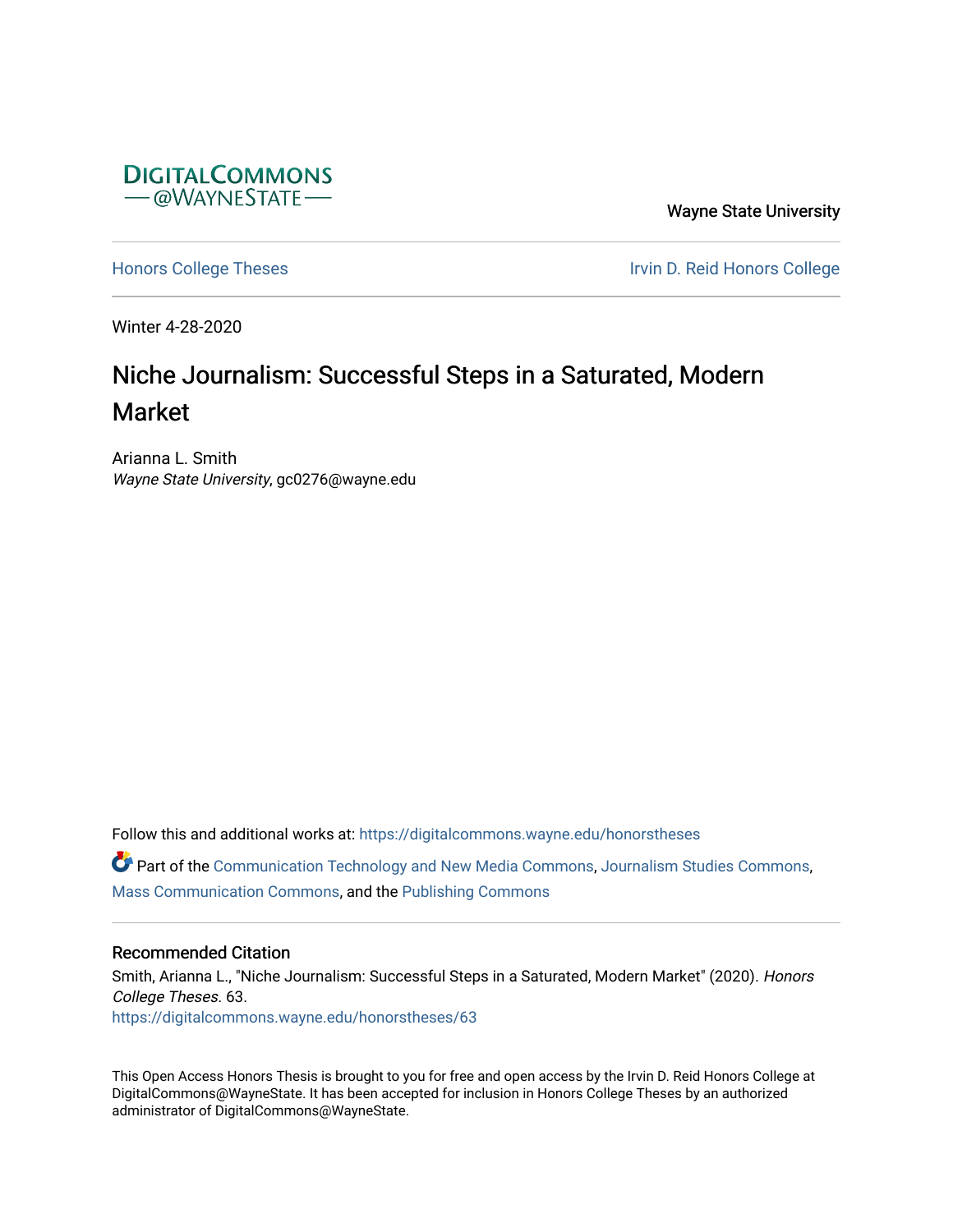

Wayne State University

[Honors College Theses](https://digitalcommons.wayne.edu/honorstheses) **Internal College Theses** Irvin D. Reid Honors College

Winter 4-28-2020

# Niche Journalism: Successful Steps in a Saturated, Modern Market

Arianna L. Smith Wayne State University, gc0276@wayne.edu

Follow this and additional works at: [https://digitalcommons.wayne.edu/honorstheses](https://digitalcommons.wayne.edu/honorstheses?utm_source=digitalcommons.wayne.edu%2Fhonorstheses%2F63&utm_medium=PDF&utm_campaign=PDFCoverPages)

**P** Part of the [Communication Technology and New Media Commons,](http://network.bepress.com/hgg/discipline/327?utm_source=digitalcommons.wayne.edu%2Fhonorstheses%2F63&utm_medium=PDF&utm_campaign=PDFCoverPages) [Journalism Studies Commons](http://network.bepress.com/hgg/discipline/333?utm_source=digitalcommons.wayne.edu%2Fhonorstheses%2F63&utm_medium=PDF&utm_campaign=PDFCoverPages), [Mass Communication Commons](http://network.bepress.com/hgg/discipline/334?utm_source=digitalcommons.wayne.edu%2Fhonorstheses%2F63&utm_medium=PDF&utm_campaign=PDFCoverPages), and the [Publishing Commons](http://network.bepress.com/hgg/discipline/1357?utm_source=digitalcommons.wayne.edu%2Fhonorstheses%2F63&utm_medium=PDF&utm_campaign=PDFCoverPages)

# Recommended Citation

Smith, Arianna L., "Niche Journalism: Successful Steps in a Saturated, Modern Market" (2020). Honors College Theses. 63. [https://digitalcommons.wayne.edu/honorstheses/63](https://digitalcommons.wayne.edu/honorstheses/63?utm_source=digitalcommons.wayne.edu%2Fhonorstheses%2F63&utm_medium=PDF&utm_campaign=PDFCoverPages) 

This Open Access Honors Thesis is brought to you for free and open access by the Irvin D. Reid Honors College at DigitalCommons@WayneState. It has been accepted for inclusion in Honors College Theses by an authorized administrator of DigitalCommons@WayneState.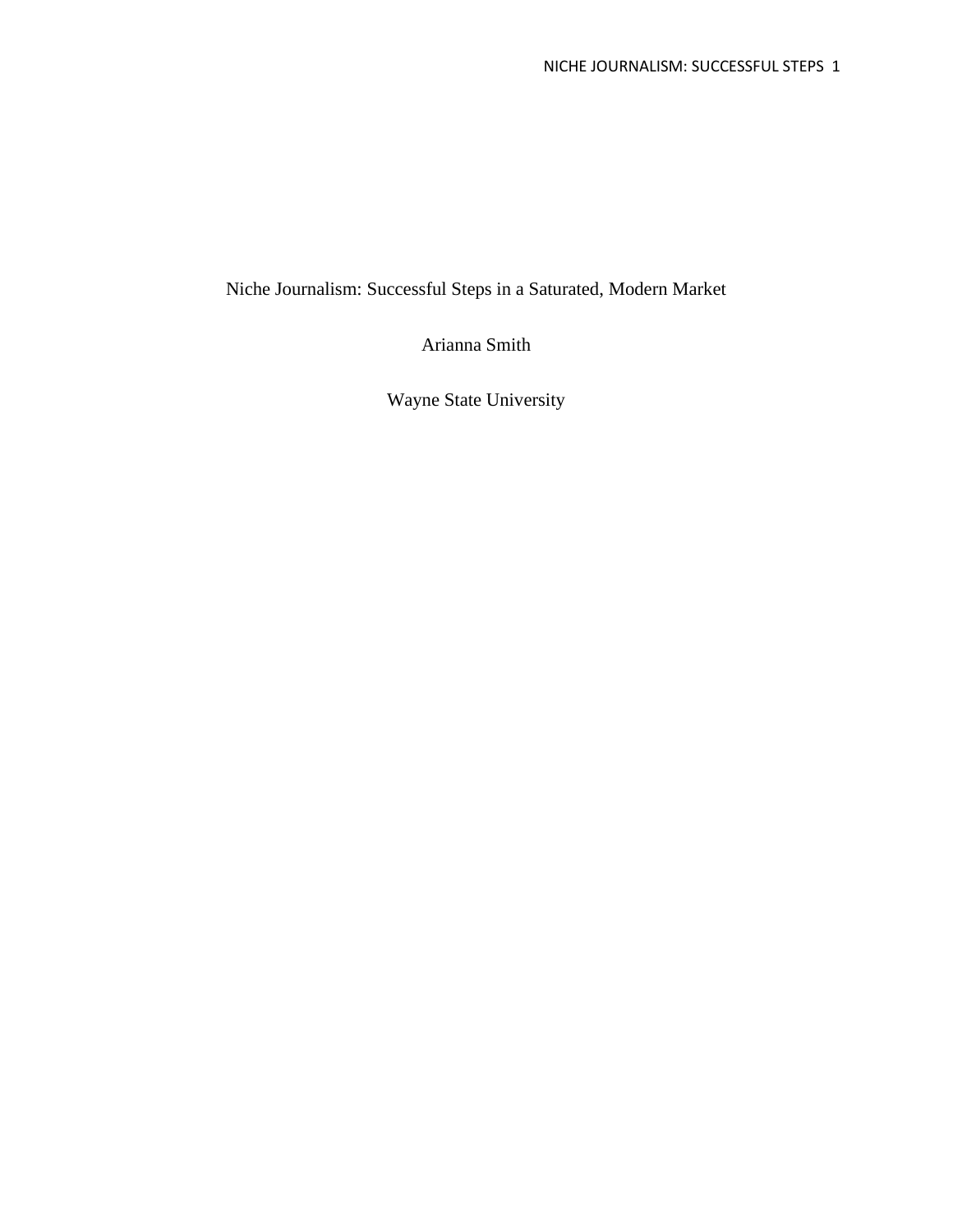Niche Journalism: Successful Steps in a Saturated, Modern Market

Arianna Smith

Wayne State University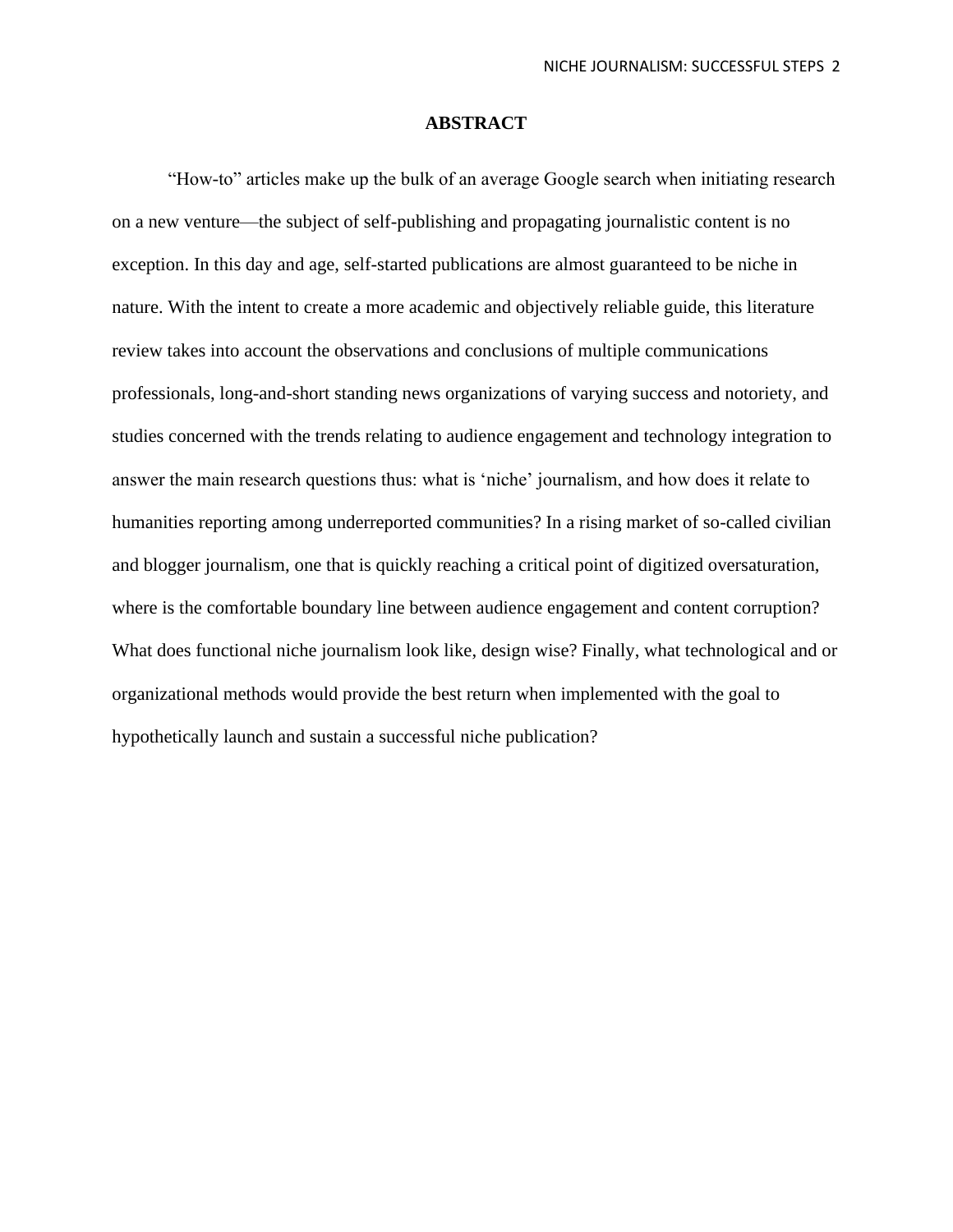#### **ABSTRACT**

"How-to" articles make up the bulk of an average Google search when initiating research on a new venture—the subject of self-publishing and propagating journalistic content is no exception. In this day and age, self-started publications are almost guaranteed to be niche in nature. With the intent to create a more academic and objectively reliable guide, this literature review takes into account the observations and conclusions of multiple communications professionals, long-and-short standing news organizations of varying success and notoriety, and studies concerned with the trends relating to audience engagement and technology integration to answer the main research questions thus: what is 'niche' journalism, and how does it relate to humanities reporting among underreported communities? In a rising market of so-called civilian and blogger journalism, one that is quickly reaching a critical point of digitized oversaturation, where is the comfortable boundary line between audience engagement and content corruption? What does functional niche journalism look like, design wise? Finally, what technological and or organizational methods would provide the best return when implemented with the goal to hypothetically launch and sustain a successful niche publication?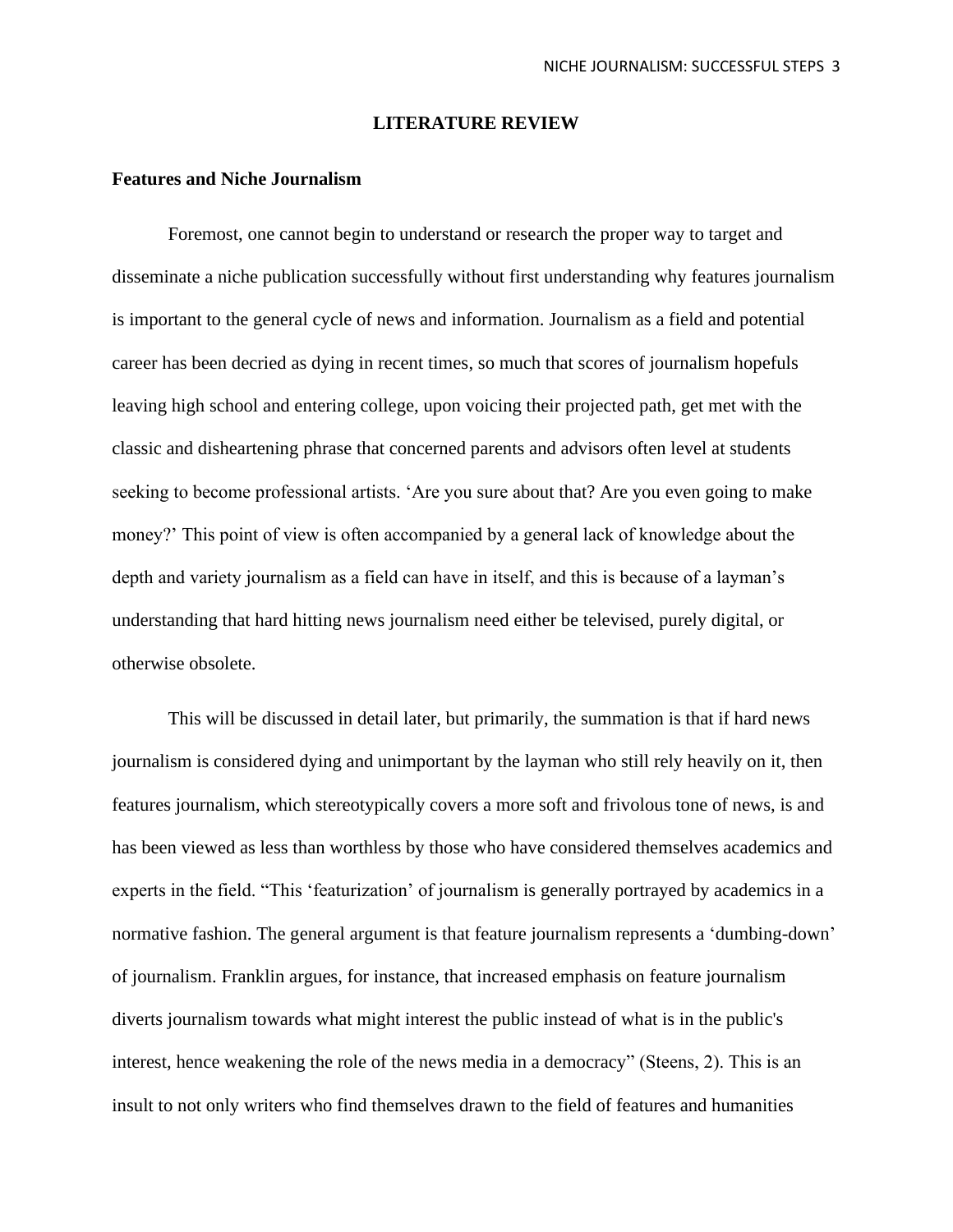#### **LITERATURE REVIEW**

## **Features and Niche Journalism**

Foremost, one cannot begin to understand or research the proper way to target and disseminate a niche publication successfully without first understanding why features journalism is important to the general cycle of news and information. Journalism as a field and potential career has been decried as dying in recent times, so much that scores of journalism hopefuls leaving high school and entering college, upon voicing their projected path, get met with the classic and disheartening phrase that concerned parents and advisors often level at students seeking to become professional artists. 'Are you sure about that? Are you even going to make money?' This point of view is often accompanied by a general lack of knowledge about the depth and variety journalism as a field can have in itself, and this is because of a layman's understanding that hard hitting news journalism need either be televised, purely digital, or otherwise obsolete.

This will be discussed in detail later, but primarily, the summation is that if hard news journalism is considered dying and unimportant by the layman who still rely heavily on it, then features journalism, which stereotypically covers a more soft and frivolous tone of news, is and has been viewed as less than worthless by those who have considered themselves academics and experts in the field. "This 'featurization' of journalism is generally portrayed by academics in a normative fashion. The general argument is that feature journalism represents a 'dumbing-down' of journalism. Franklin argues, for instance, that increased emphasis on feature journalism diverts journalism towards what might interest the public instead of what is in the public's interest, hence weakening the role of the news media in a democracy" (Steens, 2). This is an insult to not only writers who find themselves drawn to the field of features and humanities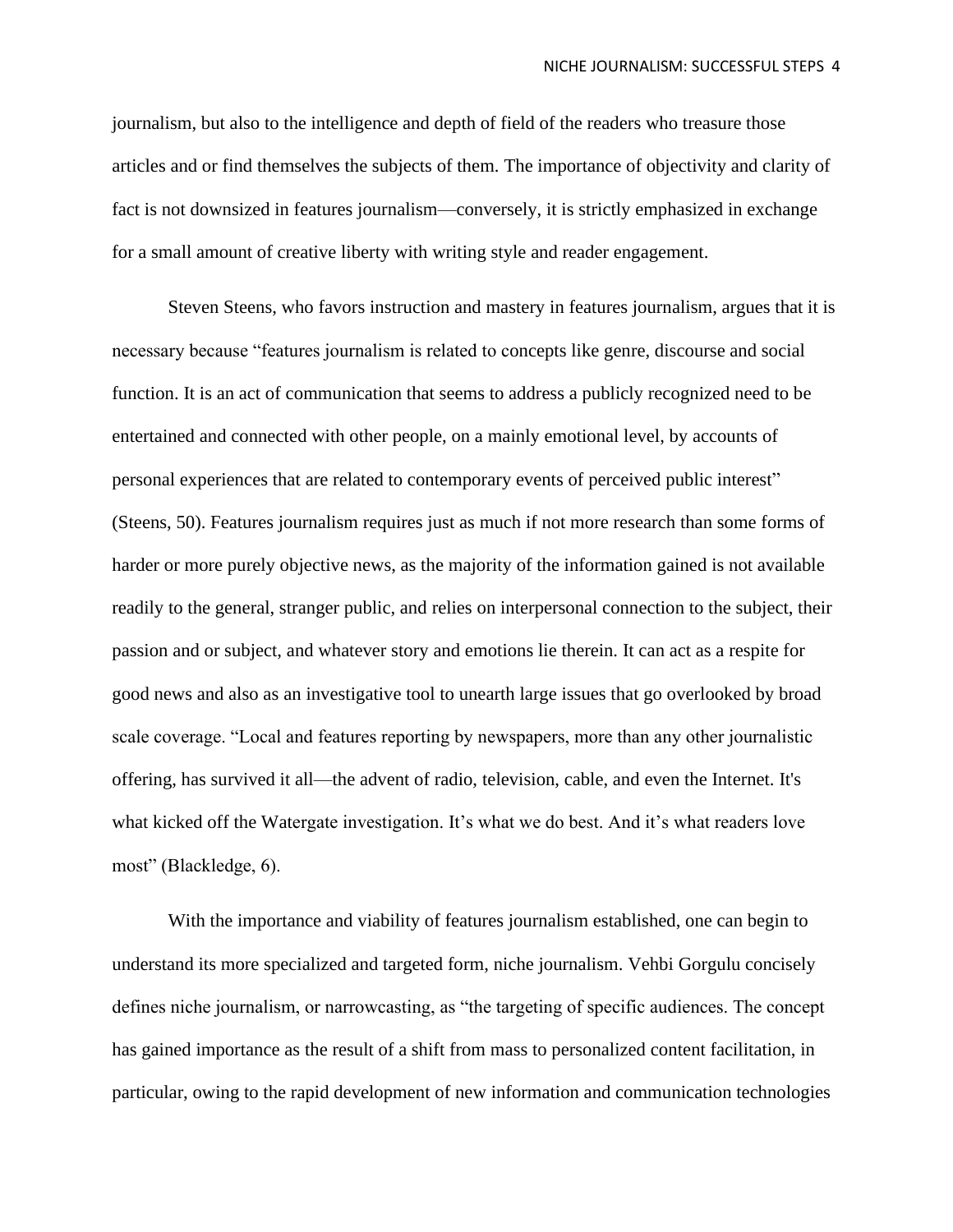journalism, but also to the intelligence and depth of field of the readers who treasure those articles and or find themselves the subjects of them. The importance of objectivity and clarity of fact is not downsized in features journalism—conversely, it is strictly emphasized in exchange for a small amount of creative liberty with writing style and reader engagement.

Steven Steens, who favors instruction and mastery in features journalism, argues that it is necessary because "features journalism is related to concepts like genre, discourse and social function. It is an act of communication that seems to address a publicly recognized need to be entertained and connected with other people, on a mainly emotional level, by accounts of personal experiences that are related to contemporary events of perceived public interest" (Steens, 50). Features journalism requires just as much if not more research than some forms of harder or more purely objective news, as the majority of the information gained is not available readily to the general, stranger public, and relies on interpersonal connection to the subject, their passion and or subject, and whatever story and emotions lie therein. It can act as a respite for good news and also as an investigative tool to unearth large issues that go overlooked by broad scale coverage. "Local and features reporting by newspapers, more than any other journalistic offering, has survived it all—the advent of radio, television, cable, and even the Internet. It's what kicked off the Watergate investigation. It's what we do best. And it's what readers love most" (Blackledge, 6).

With the importance and viability of features journalism established, one can begin to understand its more specialized and targeted form, niche journalism. Vehbi Gorgulu concisely defines niche journalism, or narrowcasting, as "the targeting of specific audiences. The concept has gained importance as the result of a shift from mass to personalized content facilitation, in particular, owing to the rapid development of new information and communication technologies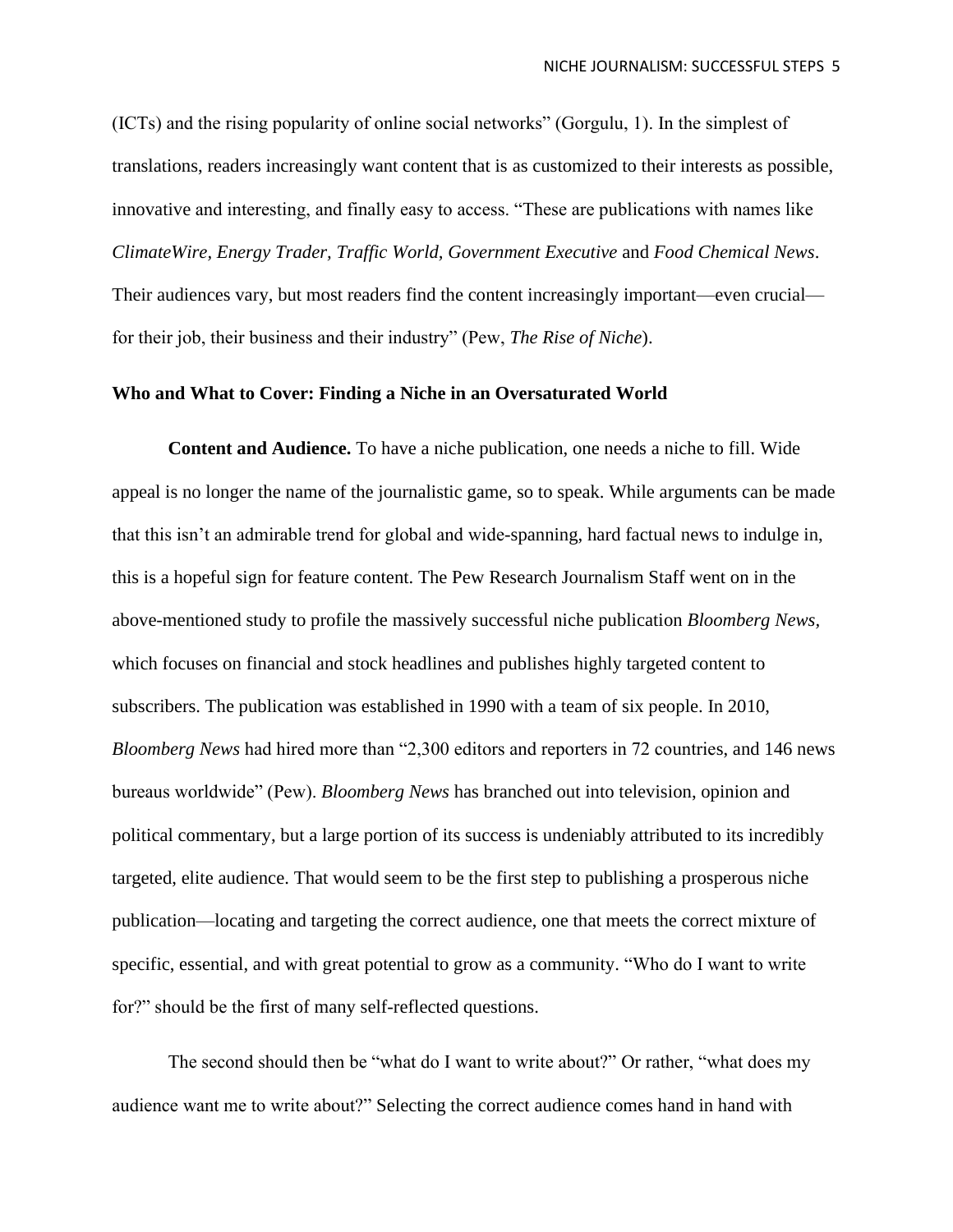(ICTs) and the rising popularity of online social networks" (Gorgulu, 1). In the simplest of translations, readers increasingly want content that is as customized to their interests as possible, innovative and interesting, and finally easy to access. "These are publications with names like *ClimateWire, Energy Trader, Traffic World, Government Executive* and *Food Chemical News*. Their audiences vary, but most readers find the content increasingly important—even crucial for their job, their business and their industry" (Pew, *The Rise of Niche*).

# **Who and What to Cover: Finding a Niche in an Oversaturated World**

**Content and Audience.** To have a niche publication, one needs a niche to fill. Wide appeal is no longer the name of the journalistic game, so to speak. While arguments can be made that this isn't an admirable trend for global and wide-spanning, hard factual news to indulge in, this is a hopeful sign for feature content. The Pew Research Journalism Staff went on in the above-mentioned study to profile the massively successful niche publication *Bloomberg News,* which focuses on financial and stock headlines and publishes highly targeted content to subscribers. The publication was established in 1990 with a team of six people. In 2010, *Bloomberg News* had hired more than "2,300 editors and reporters in 72 countries, and 146 news bureaus worldwide" (Pew). *Bloomberg News* has branched out into television, opinion and political commentary, but a large portion of its success is undeniably attributed to its incredibly targeted, elite audience. That would seem to be the first step to publishing a prosperous niche publication—locating and targeting the correct audience, one that meets the correct mixture of specific, essential, and with great potential to grow as a community. "Who do I want to write for?" should be the first of many self-reflected questions.

The second should then be "what do I want to write about?" Or rather, "what does my audience want me to write about?" Selecting the correct audience comes hand in hand with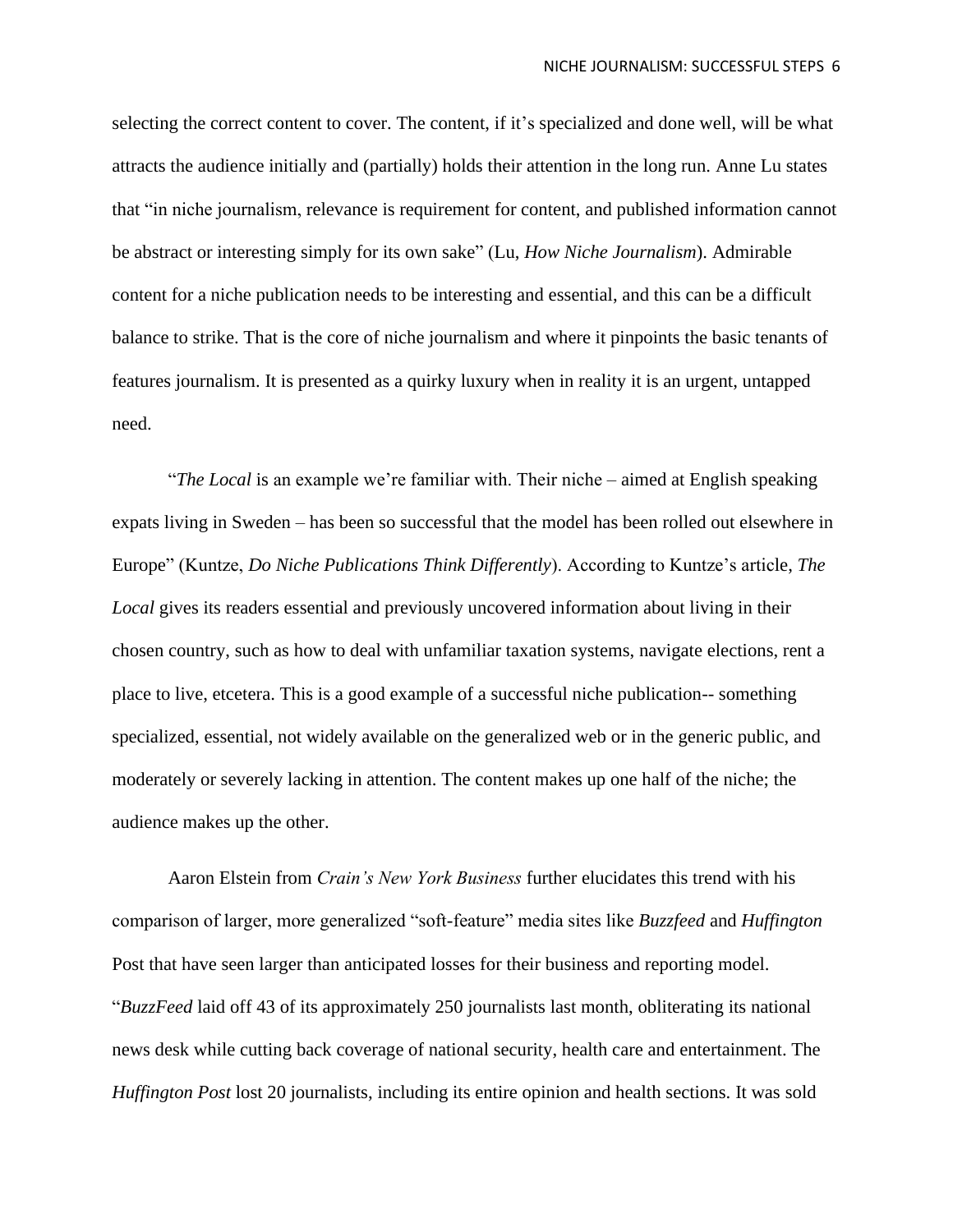selecting the correct content to cover. The content, if it's specialized and done well, will be what attracts the audience initially and (partially) holds their attention in the long run. Anne Lu states that "in niche journalism, relevance is requirement for content, and published information cannot be abstract or interesting simply for its own sake" (Lu, *How Niche Journalism*). Admirable content for a niche publication needs to be interesting and essential, and this can be a difficult balance to strike. That is the core of niche journalism and where it pinpoints the basic tenants of features journalism. It is presented as a quirky luxury when in reality it is an urgent, untapped need.

"*The Local* is an example we're familiar with. Their niche – aimed at English speaking expats living in Sweden – has been so successful that the model has been rolled out elsewhere in Europe" (Kuntze, *Do Niche Publications Think Differently*). According to Kuntze's article, *The Local* gives its readers essential and previously uncovered information about living in their chosen country, such as how to deal with unfamiliar taxation systems, navigate elections, rent a place to live, etcetera. This is a good example of a successful niche publication-- something specialized, essential, not widely available on the generalized web or in the generic public, and moderately or severely lacking in attention. The content makes up one half of the niche; the audience makes up the other.

Aaron Elstein from *Crain's New York Business* further elucidates this trend with his comparison of larger, more generalized "soft-feature" media sites like *Buzzfeed* and *Huffington*  Post that have seen larger than anticipated losses for their business and reporting model. "*BuzzFeed* laid off 43 of its approximately 250 journalists last month, obliterating its national news desk while cutting back coverage of national security, health care and entertainment. The *Huffington Post* lost 20 journalists, including its entire opinion and health sections. It was sold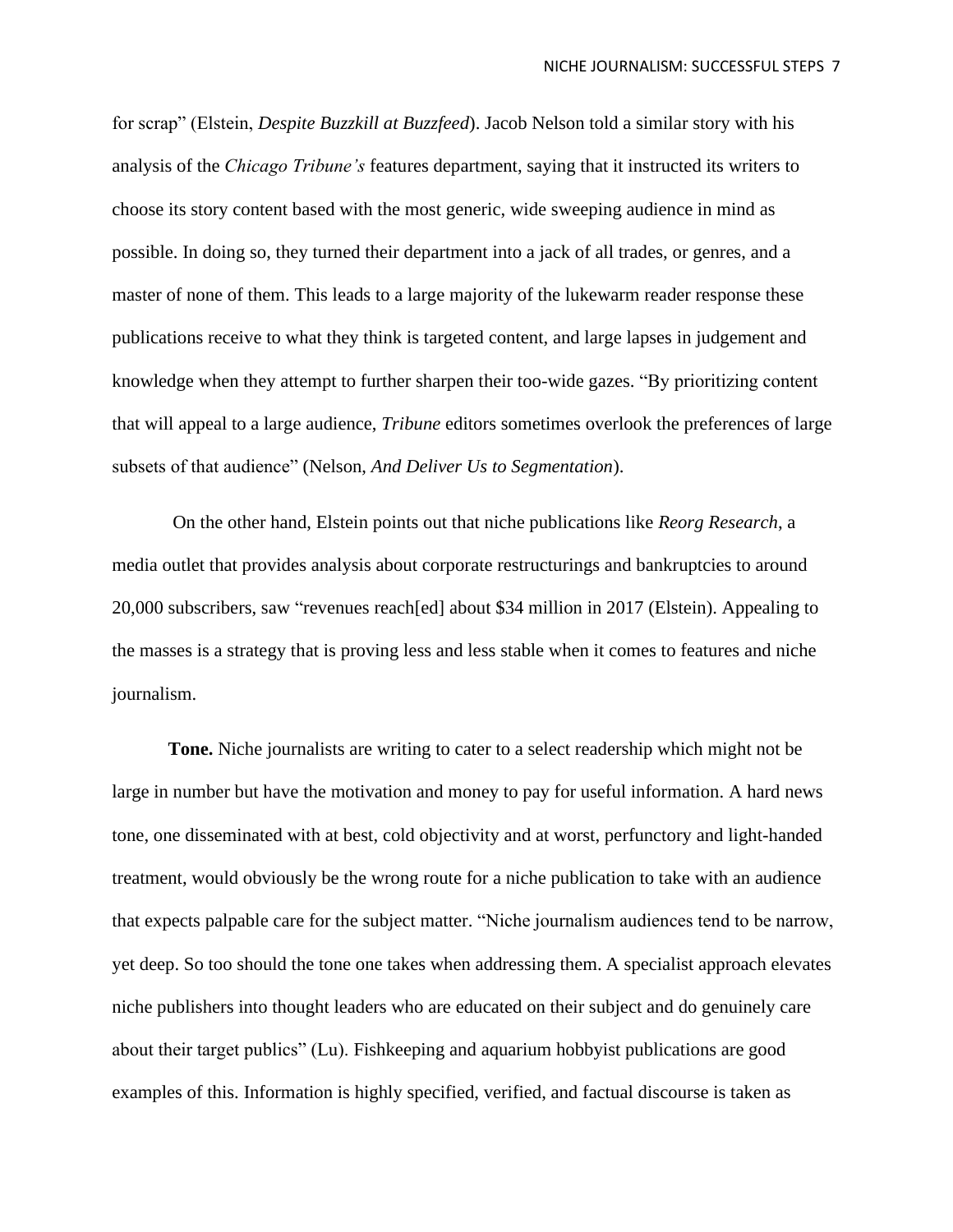for scrap" (Elstein, *Despite Buzzkill at Buzzfeed*). Jacob Nelson told a similar story with his analysis of the *Chicago Tribune's* features department, saying that it instructed its writers to choose its story content based with the most generic, wide sweeping audience in mind as possible. In doing so, they turned their department into a jack of all trades, or genres, and a master of none of them. This leads to a large majority of the lukewarm reader response these publications receive to what they think is targeted content, and large lapses in judgement and knowledge when they attempt to further sharpen their too-wide gazes. "By prioritizing content that will appeal to a large audience, *Tribune* editors sometimes overlook the preferences of large subsets of that audience" (Nelson, *And Deliver Us to Segmentation*).

On the other hand, Elstein points out that niche publications like *Reorg Research*, a media outlet that provides analysis about corporate restructurings and bankruptcies to around 20,000 subscribers, saw "revenues reach[ed] about \$34 million in 2017 (Elstein). Appealing to the masses is a strategy that is proving less and less stable when it comes to features and niche journalism.

**Tone.** Niche journalists are writing to cater to a select readership which might not be large in number but have the motivation and money to pay for useful information. A hard news tone, one disseminated with at best, cold objectivity and at worst, perfunctory and light-handed treatment, would obviously be the wrong route for a niche publication to take with an audience that expects palpable care for the subject matter. "Niche journalism audiences tend to be narrow, yet deep. So too should the tone one takes when addressing them. A specialist approach elevates niche publishers into thought leaders who are educated on their subject and do genuinely care about their target publics" (Lu). Fishkeeping and aquarium hobbyist publications are good examples of this. Information is highly specified, verified, and factual discourse is taken as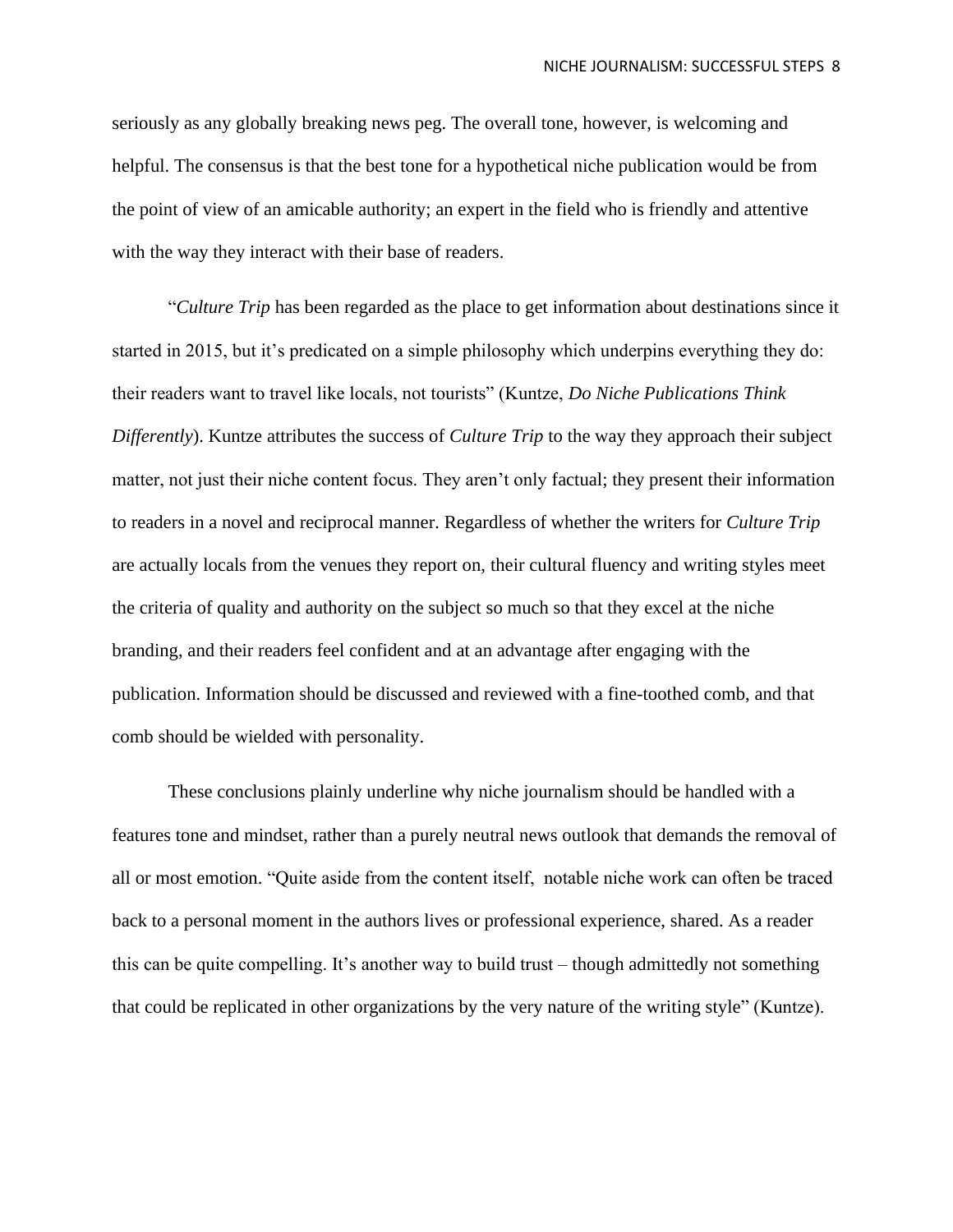seriously as any globally breaking news peg. The overall tone, however, is welcoming and helpful. The consensus is that the best tone for a hypothetical niche publication would be from the point of view of an amicable authority; an expert in the field who is friendly and attentive with the way they interact with their base of readers.

"*Culture Trip* has been regarded as the place to get information about destinations since it started in 2015, but it's predicated on a simple philosophy which underpins everything they do: their readers want to travel like locals, not tourists" (Kuntze, *Do Niche Publications Think Differently*). Kuntze attributes the success of *Culture Trip* to the way they approach their subject matter, not just their niche content focus. They aren't only factual; they present their information to readers in a novel and reciprocal manner. Regardless of whether the writers for *Culture Trip* are actually locals from the venues they report on, their cultural fluency and writing styles meet the criteria of quality and authority on the subject so much so that they excel at the niche branding, and their readers feel confident and at an advantage after engaging with the publication. Information should be discussed and reviewed with a fine-toothed comb, and that comb should be wielded with personality.

These conclusions plainly underline why niche journalism should be handled with a features tone and mindset, rather than a purely neutral news outlook that demands the removal of all or most emotion. "Quite aside from the content itself, notable niche work can often be traced back to a personal moment in the authors lives or professional experience, shared. As a reader this can be quite compelling. It's another way to build trust – though admittedly not something that could be replicated in other organizations by the very nature of the writing style" (Kuntze).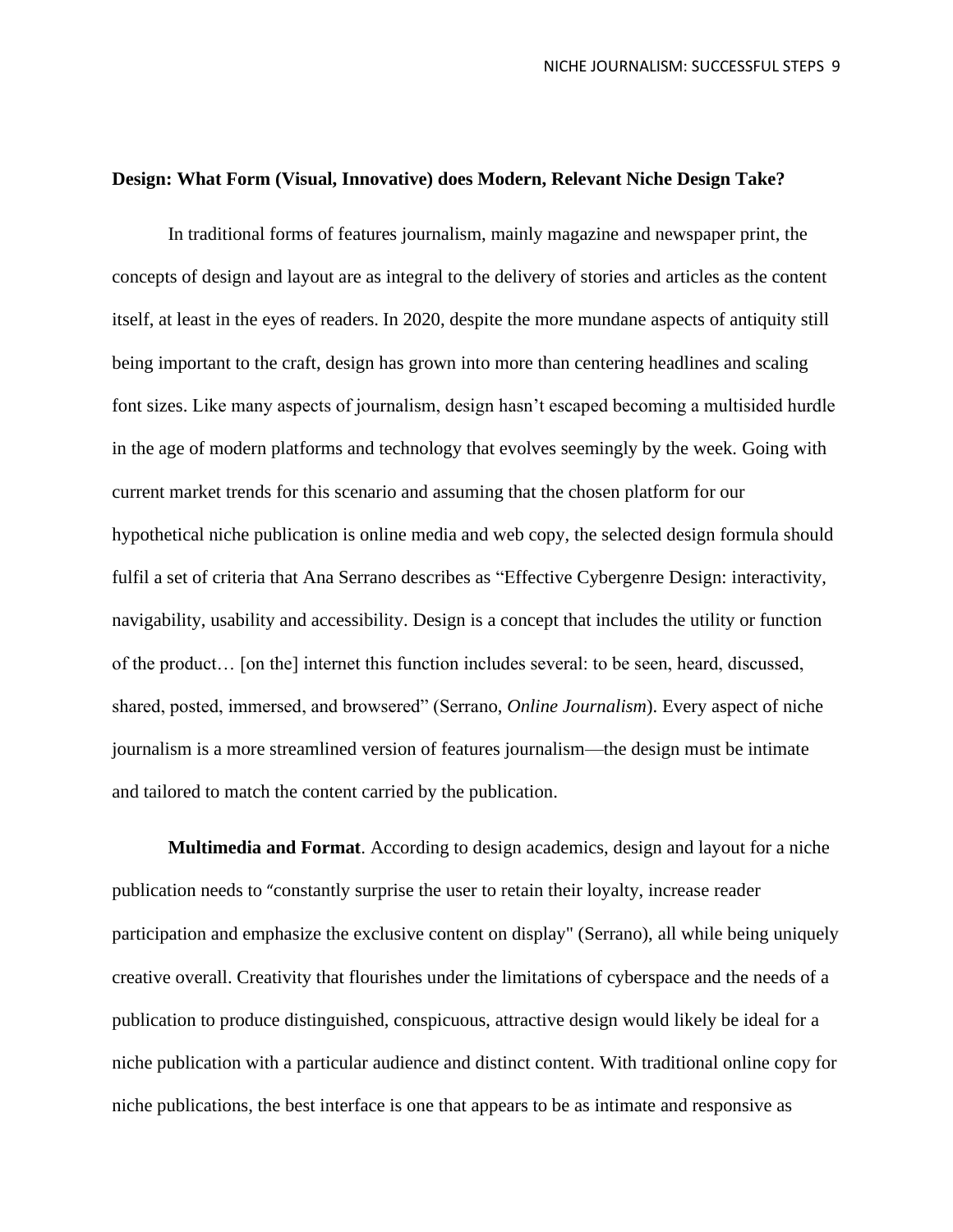# **Design: What Form (Visual, Innovative) does Modern, Relevant Niche Design Take?**

In traditional forms of features journalism, mainly magazine and newspaper print, the concepts of design and layout are as integral to the delivery of stories and articles as the content itself, at least in the eyes of readers. In 2020, despite the more mundane aspects of antiquity still being important to the craft, design has grown into more than centering headlines and scaling font sizes. Like many aspects of journalism, design hasn't escaped becoming a multisided hurdle in the age of modern platforms and technology that evolves seemingly by the week. Going with current market trends for this scenario and assuming that the chosen platform for our hypothetical niche publication is online media and web copy, the selected design formula should fulfil a set of criteria that Ana Serrano describes as "Effective Cybergenre Design: interactivity, navigability, usability and accessibility. Design is a concept that includes the utility or function of the product… [on the] internet this function includes several: to be seen, heard, discussed, shared, posted, immersed, and browsered" (Serrano, *Online Journalism*). Every aspect of niche journalism is a more streamlined version of features journalism—the design must be intimate and tailored to match the content carried by the publication.

**Multimedia and Format**. According to design academics, design and layout for a niche publication needs to "constantly surprise the user to retain their loyalty, increase reader participation and emphasize the exclusive content on display" (Serrano), all while being uniquely creative overall. Creativity that flourishes under the limitations of cyberspace and the needs of a publication to produce distinguished, conspicuous, attractive design would likely be ideal for a niche publication with a particular audience and distinct content. With traditional online copy for niche publications, the best interface is one that appears to be as intimate and responsive as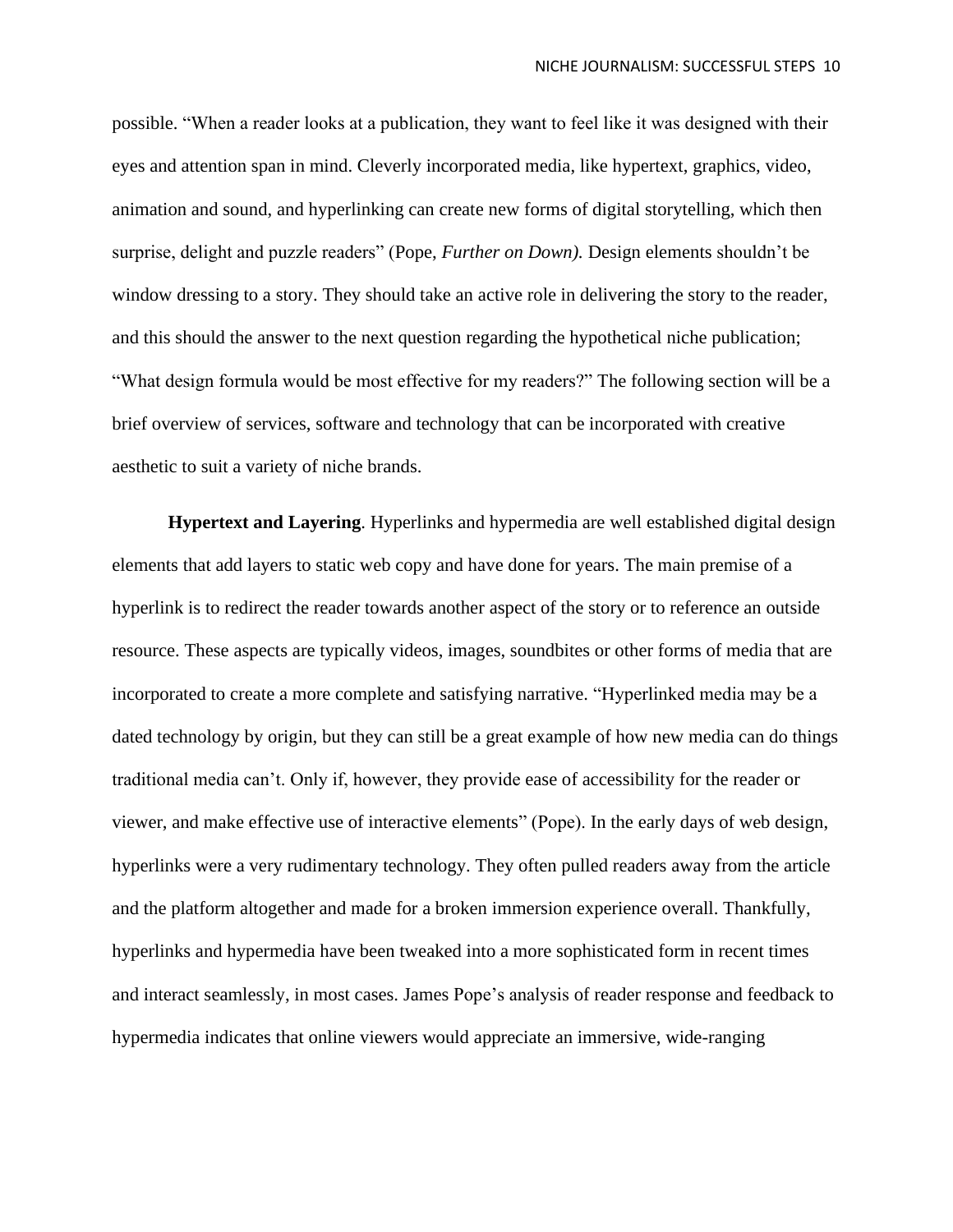possible. "When a reader looks at a publication, they want to feel like it was designed with their eyes and attention span in mind. Cleverly incorporated media, like hypertext, graphics, video, animation and sound, and hyperlinking can create new forms of digital storytelling, which then surprise, delight and puzzle readers" (Pope, *Further on Down).* Design elements shouldn't be window dressing to a story. They should take an active role in delivering the story to the reader, and this should the answer to the next question regarding the hypothetical niche publication; "What design formula would be most effective for my readers?" The following section will be a brief overview of services, software and technology that can be incorporated with creative aesthetic to suit a variety of niche brands.

**Hypertext and Layering**. Hyperlinks and hypermedia are well established digital design elements that add layers to static web copy and have done for years. The main premise of a hyperlink is to redirect the reader towards another aspect of the story or to reference an outside resource. These aspects are typically videos, images, soundbites or other forms of media that are incorporated to create a more complete and satisfying narrative. "Hyperlinked media may be a dated technology by origin, but they can still be a great example of how new media can do things traditional media can't. Only if, however, they provide ease of accessibility for the reader or viewer, and make effective use of interactive elements" (Pope). In the early days of web design, hyperlinks were a very rudimentary technology. They often pulled readers away from the article and the platform altogether and made for a broken immersion experience overall. Thankfully, hyperlinks and hypermedia have been tweaked into a more sophisticated form in recent times and interact seamlessly, in most cases. James Pope's analysis of reader response and feedback to hypermedia indicates that online viewers would appreciate an immersive, wide-ranging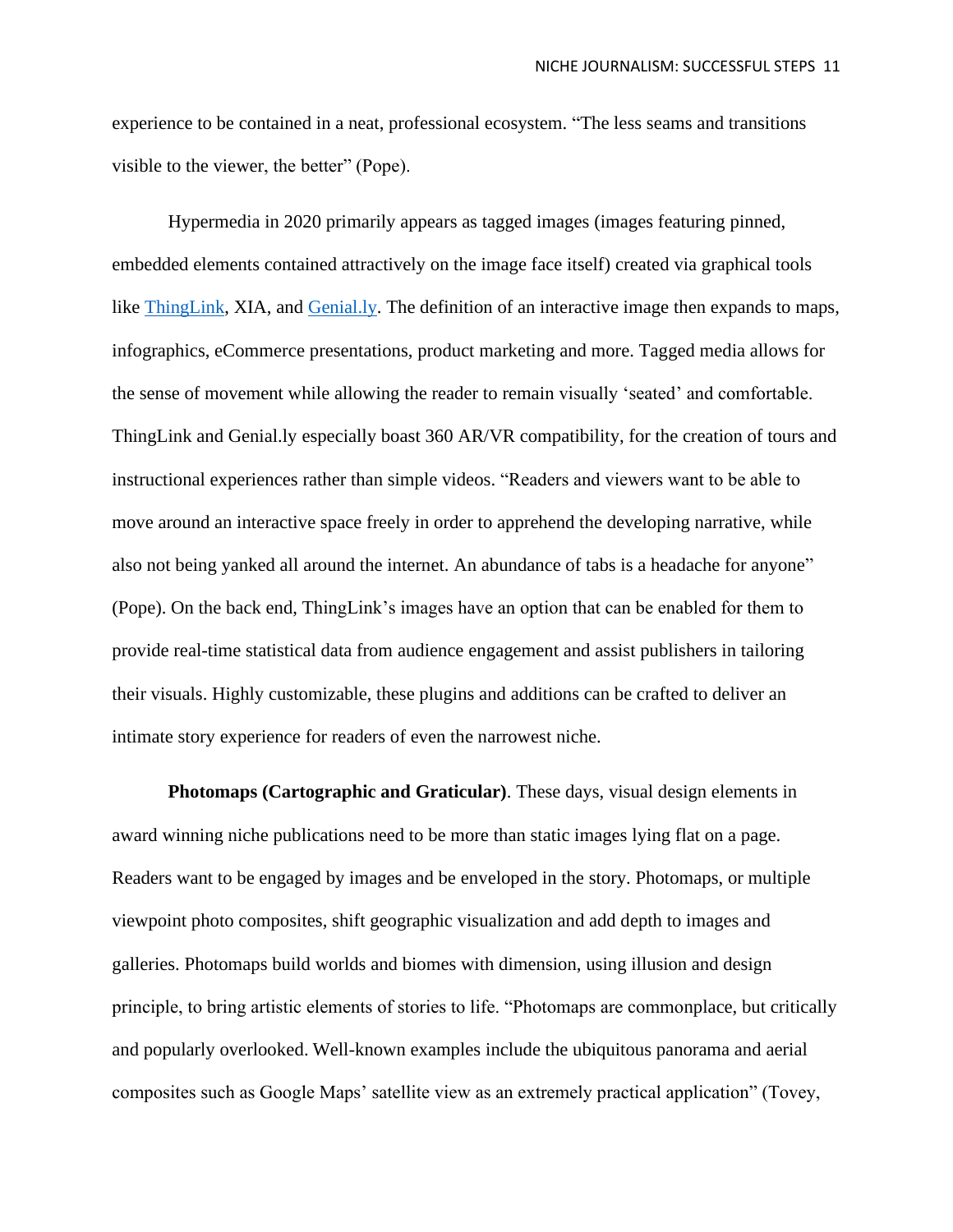experience to be contained in a neat, professional ecosystem. "The less seams and transitions visible to the viewer, the better" (Pope).

Hypermedia in 2020 primarily appears as tagged images (images featuring pinned, embedded elements contained attractively on the image face itself) created via graphical tools like [ThingLink,](https://www.thinglink.com/en-us/) XIA, and [Genial.ly.](https://www.genial.ly/) The definition of an interactive image then expands to maps, infographics, eCommerce presentations, product marketing and more. Tagged media allows for the sense of movement while allowing the reader to remain visually 'seated' and comfortable. ThingLink and Genial.ly especially boast 360 AR/VR compatibility, for the creation of tours and instructional experiences rather than simple videos. "Readers and viewers want to be able to move around an interactive space freely in order to apprehend the developing narrative, while also not being yanked all around the internet. An abundance of tabs is a headache for anyone" (Pope). On the back end, ThingLink's images have an option that can be enabled for them to provide real-time statistical data from audience engagement and assist publishers in tailoring their visuals. Highly customizable, these plugins and additions can be crafted to deliver an intimate story experience for readers of even the narrowest niche.

**Photomaps (Cartographic and Graticular)**. These days, visual design elements in award winning niche publications need to be more than static images lying flat on a page. Readers want to be engaged by images and be enveloped in the story. Photomaps, or multiple viewpoint photo composites, shift geographic visualization and add depth to images and galleries. Photomaps build worlds and biomes with dimension, using illusion and design principle, to bring artistic elements of stories to life. "Photomaps are commonplace, but critically and popularly overlooked. Well-known examples include the ubiquitous panorama and aerial composites such as Google Maps' satellite view as an extremely practical application" (Tovey,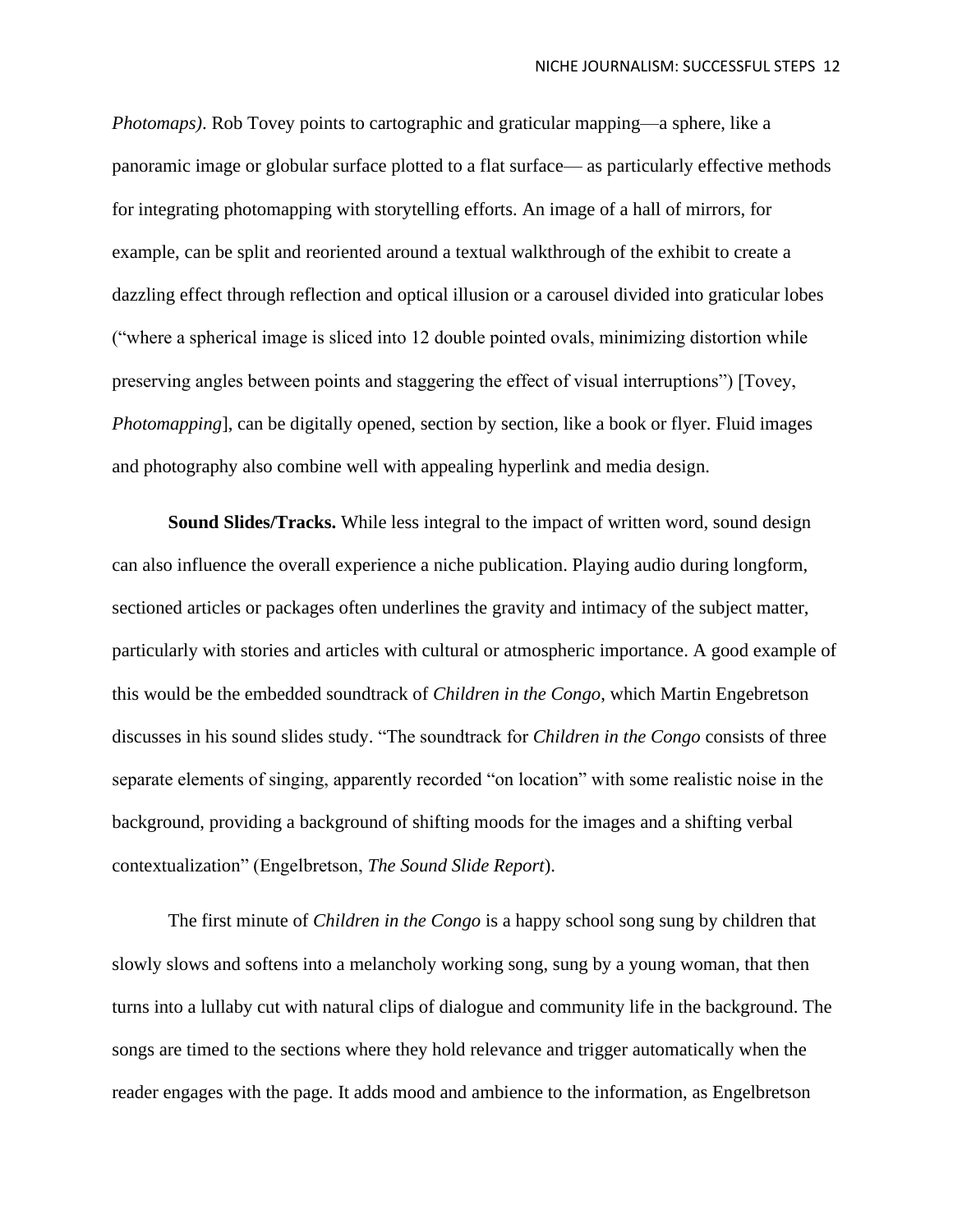*Photomaps)*. Rob Tovey points to cartographic and graticular mapping—a sphere, like a panoramic image or globular surface plotted to a flat surface— as particularly effective methods for integrating photomapping with storytelling efforts. An image of a hall of mirrors, for example, can be split and reoriented around a textual walkthrough of the exhibit to create a dazzling effect through reflection and optical illusion or a carousel divided into graticular lobes ("where a spherical image is sliced into 12 double pointed ovals, minimizing distortion while preserving angles between points and staggering the effect of visual interruptions") [Tovey, *Photomapping*], can be digitally opened, section by section, like a book or flyer. Fluid images and photography also combine well with appealing hyperlink and media design.

**Sound Slides/Tracks.** While less integral to the impact of written word, sound design can also influence the overall experience a niche publication. Playing audio during longform, sectioned articles or packages often underlines the gravity and intimacy of the subject matter, particularly with stories and articles with cultural or atmospheric importance. A good example of this would be the embedded soundtrack of *Children in the Congo*, which Martin Engebretson discusses in his sound slides study. "The soundtrack for *Children in the Congo* consists of three separate elements of singing, apparently recorded "on location" with some realistic noise in the background, providing a background of shifting moods for the images and a shifting verbal contextualization" (Engelbretson, *The Sound Slide Report*).

The first minute of *Children in the Congo* is a happy school song sung by children that slowly slows and softens into a melancholy working song, sung by a young woman, that then turns into a lullaby cut with natural clips of dialogue and community life in the background. The songs are timed to the sections where they hold relevance and trigger automatically when the reader engages with the page. It adds mood and ambience to the information, as Engelbretson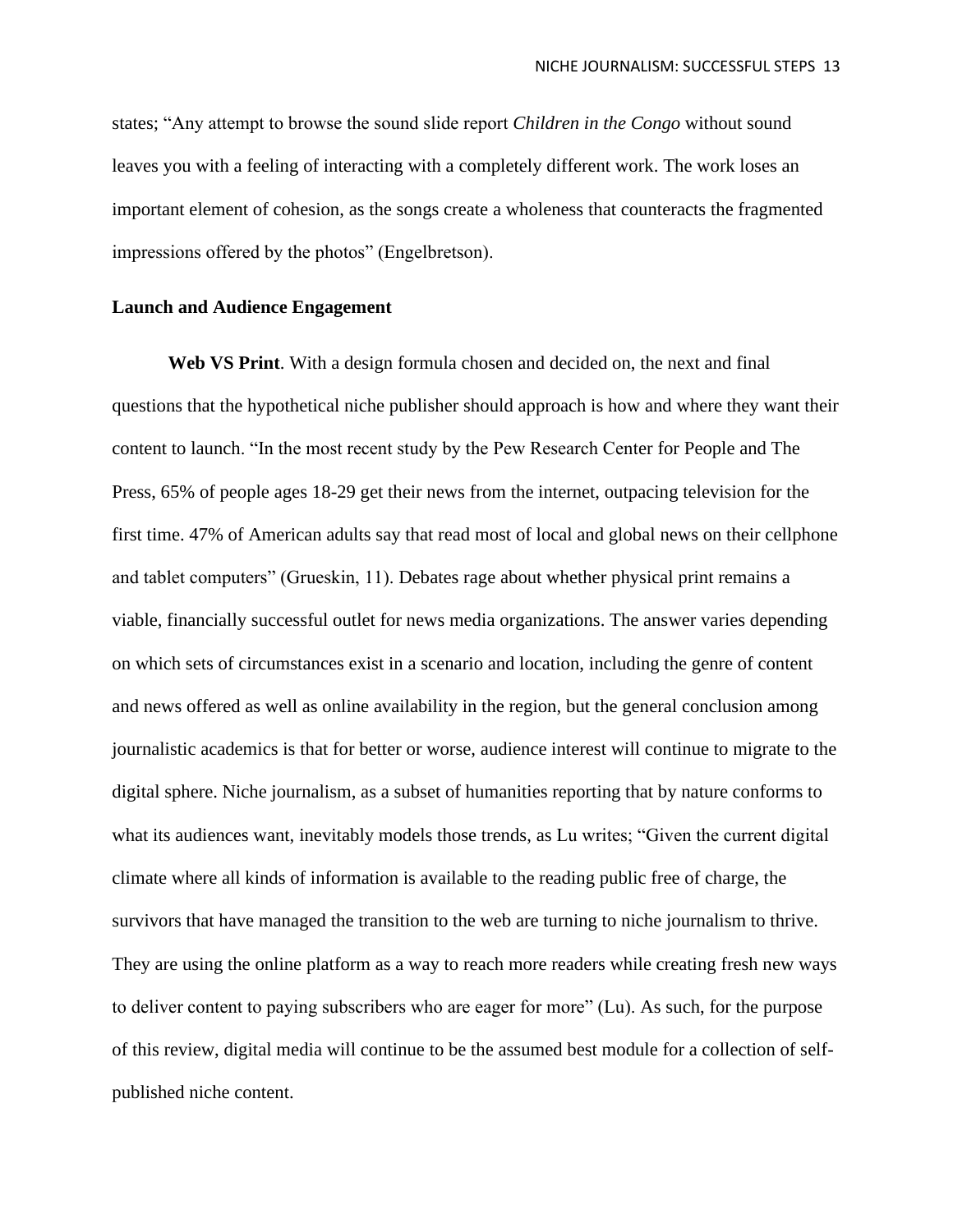states; "Any attempt to browse the sound slide report *Children in the Congo* without sound leaves you with a feeling of interacting with a completely different work. The work loses an important element of cohesion, as the songs create a wholeness that counteracts the fragmented impressions offered by the photos" (Engelbretson).

# **Launch and Audience Engagement**

**Web VS Print**. With a design formula chosen and decided on, the next and final questions that the hypothetical niche publisher should approach is how and where they want their content to launch. "In the most recent study by the Pew Research Center for People and The Press, 65% of people ages 18-29 get their news from the internet, outpacing television for the first time. 47% of American adults say that read most of local and global news on their cellphone and tablet computers" (Grueskin, 11). Debates rage about whether physical print remains a viable, financially successful outlet for news media organizations. The answer varies depending on which sets of circumstances exist in a scenario and location, including the genre of content and news offered as well as online availability in the region, but the general conclusion among journalistic academics is that for better or worse, audience interest will continue to migrate to the digital sphere. Niche journalism, as a subset of humanities reporting that by nature conforms to what its audiences want, inevitably models those trends, as Lu writes; "Given the current digital climate where all kinds of information is available to the reading public free of charge, the survivors that have managed the transition to the web are turning to niche journalism to thrive. They are using the online platform as a way to reach more readers while creating fresh new ways to deliver content to paying subscribers who are eager for more" (Lu). As such, for the purpose of this review, digital media will continue to be the assumed best module for a collection of selfpublished niche content.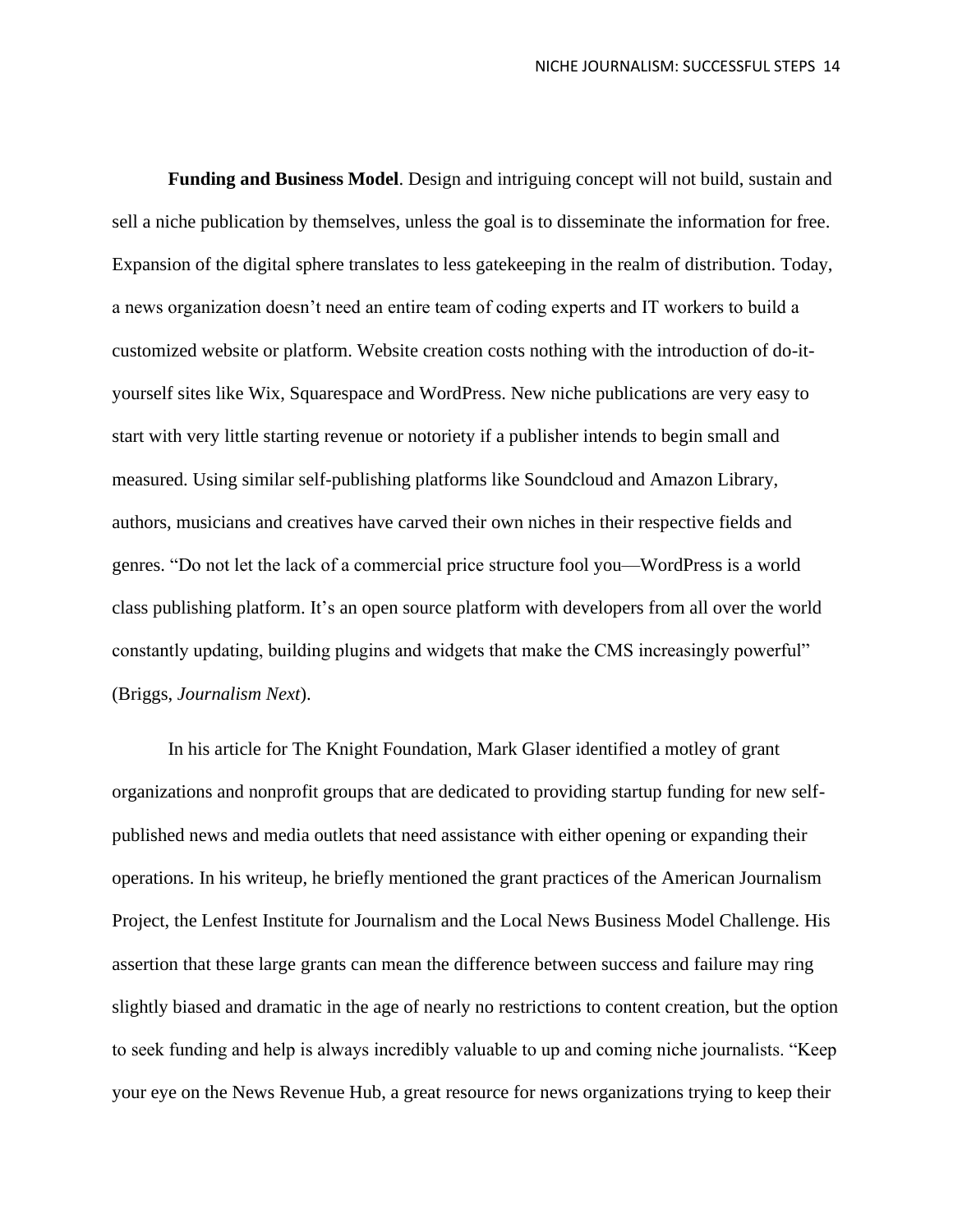**Funding and Business Model**. Design and intriguing concept will not build, sustain and sell a niche publication by themselves, unless the goal is to disseminate the information for free. Expansion of the digital sphere translates to less gatekeeping in the realm of distribution. Today, a news organization doesn't need an entire team of coding experts and IT workers to build a customized website or platform. Website creation costs nothing with the introduction of do-ityourself sites like Wix, Squarespace and WordPress. New niche publications are very easy to start with very little starting revenue or notoriety if a publisher intends to begin small and measured. Using similar self-publishing platforms like Soundcloud and Amazon Library, authors, musicians and creatives have carved their own niches in their respective fields and genres. "Do not let the lack of a commercial price structure fool you—WordPress is a world class publishing platform. It's an open source platform with developers from all over the world constantly updating, building plugins and widgets that make the CMS increasingly powerful" (Briggs, *Journalism Next*).

In his article for The Knight Foundation, Mark Glaser identified a motley of grant organizations and nonprofit groups that are dedicated to providing startup funding for new selfpublished news and media outlets that need assistance with either opening or expanding their operations. In his writeup, he briefly mentioned the grant practices of the American Journalism Project, the Lenfest Institute for Journalism and the Local News Business Model Challenge. His assertion that these large grants can mean the difference between success and failure may ring slightly biased and dramatic in the age of nearly no restrictions to content creation, but the option to seek funding and help is always incredibly valuable to up and coming niche journalists. "Keep your eye on the News Revenue Hub, a great resource for news organizations trying to keep their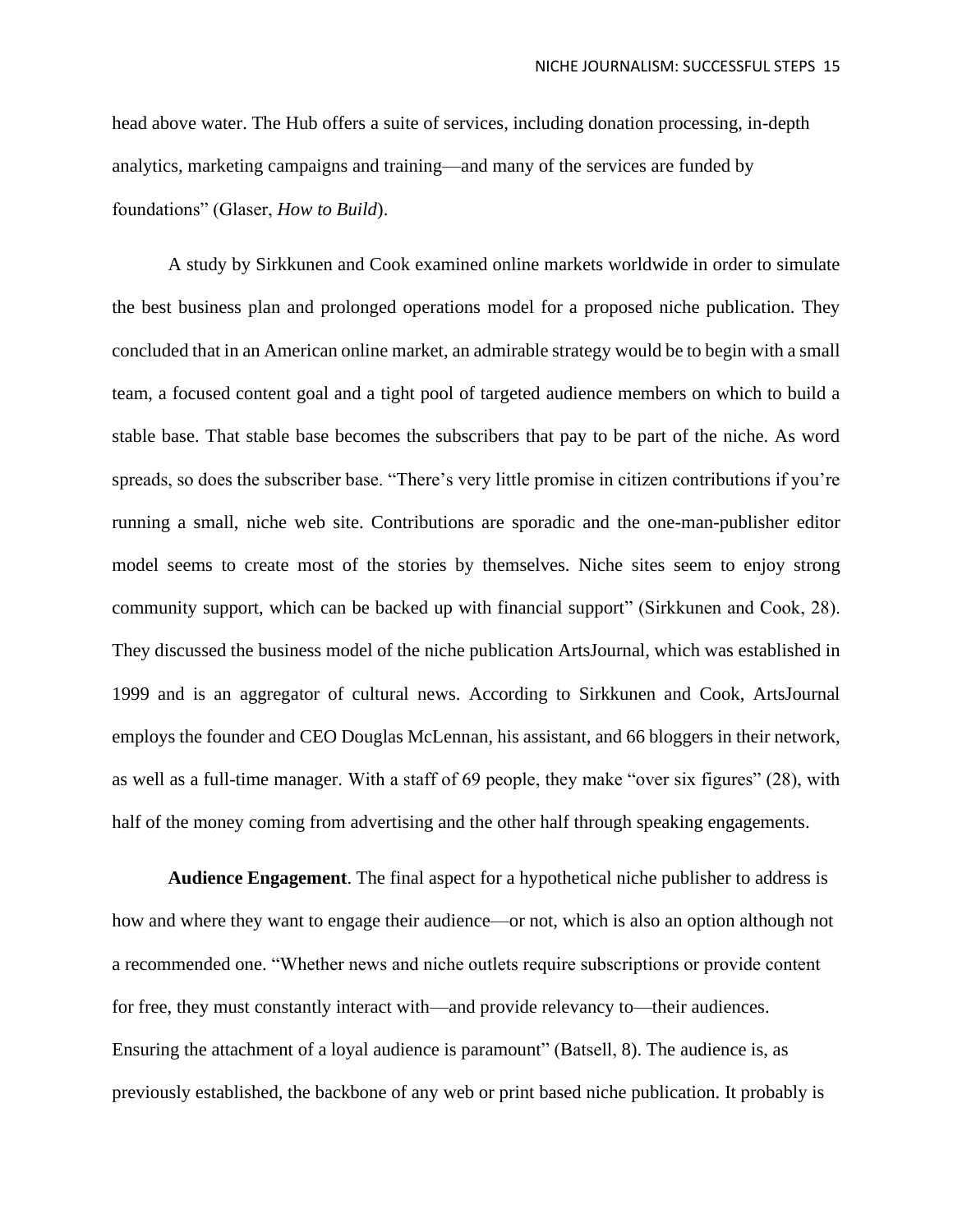head above water. The Hub offers a suite of services, including donation processing, in-depth analytics, marketing campaigns and training—and many of the services are funded by foundations" (Glaser, *How to Build*).

A study by Sirkkunen and Cook examined online markets worldwide in order to simulate the best business plan and prolonged operations model for a proposed niche publication. They concluded that in an American online market, an admirable strategy would be to begin with a small team, a focused content goal and a tight pool of targeted audience members on which to build a stable base. That stable base becomes the subscribers that pay to be part of the niche. As word spreads, so does the subscriber base. "There's very little promise in citizen contributions if you're running a small, niche web site. Contributions are sporadic and the one-man-publisher editor model seems to create most of the stories by themselves. Niche sites seem to enjoy strong community support, which can be backed up with financial support" (Sirkkunen and Cook, 28). They discussed the business model of the niche publication ArtsJournal, which was established in 1999 and is an aggregator of cultural news. According to Sirkkunen and Cook, ArtsJournal employs the founder and CEO Douglas McLennan, his assistant, and 66 bloggers in their network, as well as a full-time manager. With a staff of 69 people, they make "over six figures" (28), with half of the money coming from advertising and the other half through speaking engagements.

**Audience Engagement**. The final aspect for a hypothetical niche publisher to address is how and where they want to engage their audience—or not, which is also an option although not a recommended one. "Whether news and niche outlets require subscriptions or provide content for free, they must constantly interact with—and provide relevancy to—their audiences. Ensuring the attachment of a loyal audience is paramount" (Batsell, 8). The audience is, as previously established, the backbone of any web or print based niche publication. It probably is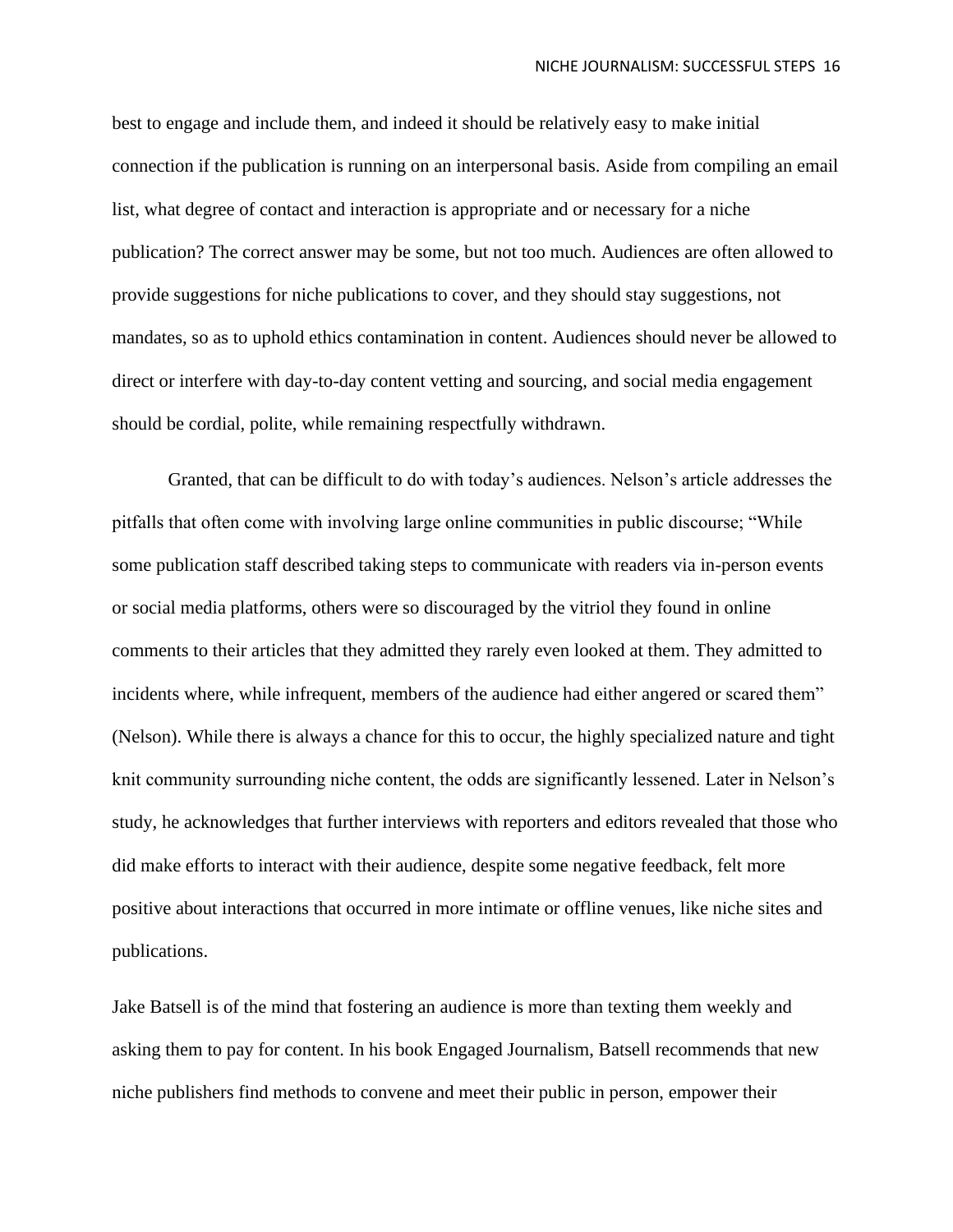best to engage and include them, and indeed it should be relatively easy to make initial connection if the publication is running on an interpersonal basis. Aside from compiling an email list, what degree of contact and interaction is appropriate and or necessary for a niche publication? The correct answer may be some, but not too much. Audiences are often allowed to provide suggestions for niche publications to cover, and they should stay suggestions, not mandates, so as to uphold ethics contamination in content. Audiences should never be allowed to direct or interfere with day-to-day content vetting and sourcing, and social media engagement should be cordial, polite, while remaining respectfully withdrawn.

Granted, that can be difficult to do with today's audiences. Nelson's article addresses the pitfalls that often come with involving large online communities in public discourse; "While some publication staff described taking steps to communicate with readers via in-person events or social media platforms, others were so discouraged by the vitriol they found in online comments to their articles that they admitted they rarely even looked at them. They admitted to incidents where, while infrequent, members of the audience had either angered or scared them" (Nelson). While there is always a chance for this to occur, the highly specialized nature and tight knit community surrounding niche content, the odds are significantly lessened. Later in Nelson's study, he acknowledges that further interviews with reporters and editors revealed that those who did make efforts to interact with their audience, despite some negative feedback, felt more positive about interactions that occurred in more intimate or offline venues, like niche sites and publications.

Jake Batsell is of the mind that fostering an audience is more than texting them weekly and asking them to pay for content. In his book Engaged Journalism, Batsell recommends that new niche publishers find methods to convene and meet their public in person, empower their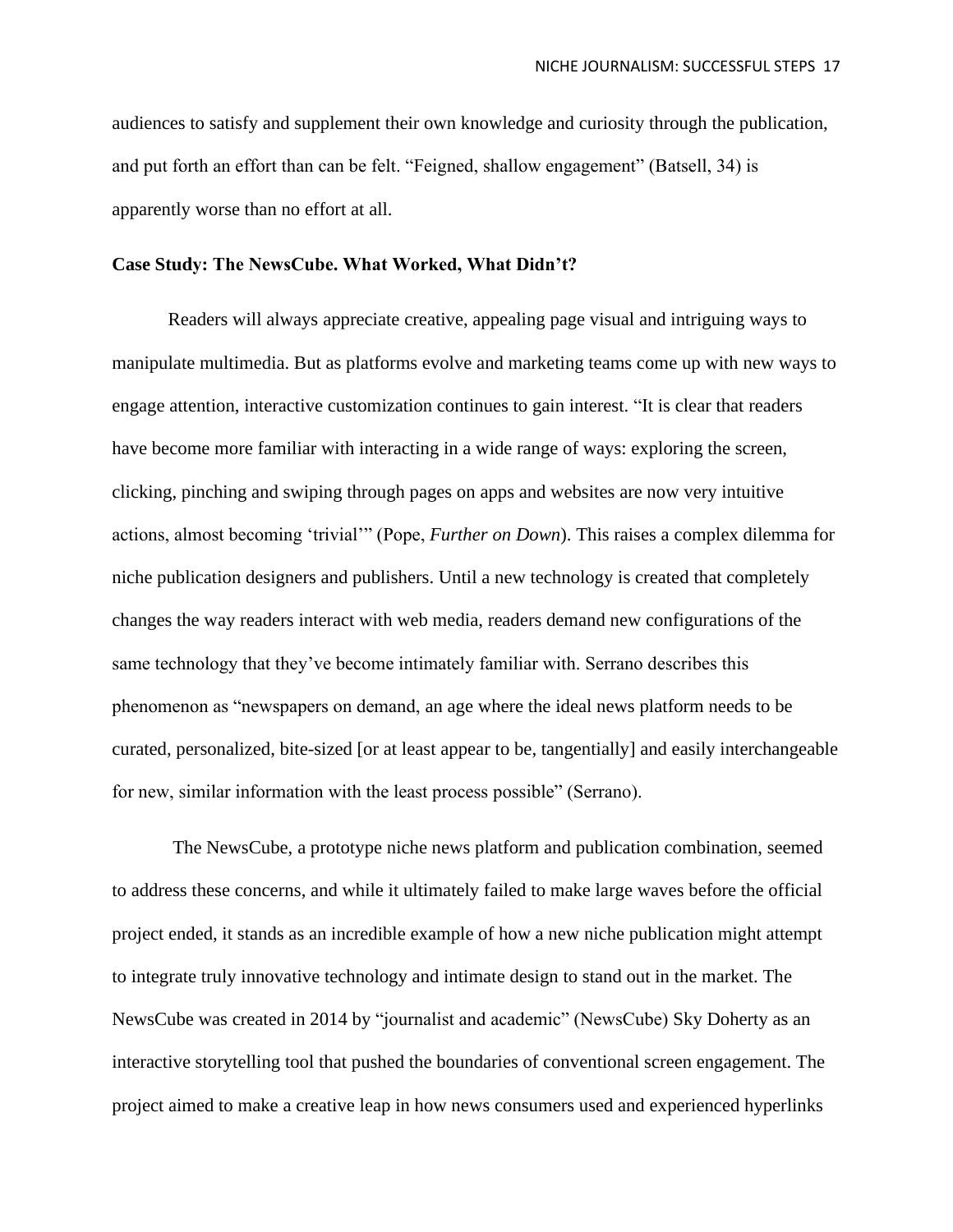audiences to satisfy and supplement their own knowledge and curiosity through the publication, and put forth an effort than can be felt. "Feigned, shallow engagement" (Batsell, 34) is apparently worse than no effort at all.

## **Case Study: The NewsCube. What Worked, What Didn't?**

Readers will always appreciate creative, appealing page visual and intriguing ways to manipulate multimedia. But as platforms evolve and marketing teams come up with new ways to engage attention, interactive customization continues to gain interest. "It is clear that readers have become more familiar with interacting in a wide range of ways: exploring the screen, clicking, pinching and swiping through pages on apps and websites are now very intuitive actions, almost becoming 'trivial'" (Pope, *Further on Down*). This raises a complex dilemma for niche publication designers and publishers. Until a new technology is created that completely changes the way readers interact with web media, readers demand new configurations of the same technology that they've become intimately familiar with. Serrano describes this phenomenon as "newspapers on demand, an age where the ideal news platform needs to be curated, personalized, bite-sized [or at least appear to be, tangentially] and easily interchangeable for new, similar information with the least process possible" (Serrano).

The NewsCube, a prototype niche news platform and publication combination, seemed to address these concerns, and while it ultimately failed to make large waves before the official project ended, it stands as an incredible example of how a new niche publication might attempt to integrate truly innovative technology and intimate design to stand out in the market. The NewsCube was created in 2014 by "journalist and academic" (NewsCube) Sky Doherty as an interactive storytelling tool that pushed the boundaries of conventional screen engagement. The project aimed to make a creative leap in how news consumers used and experienced hyperlinks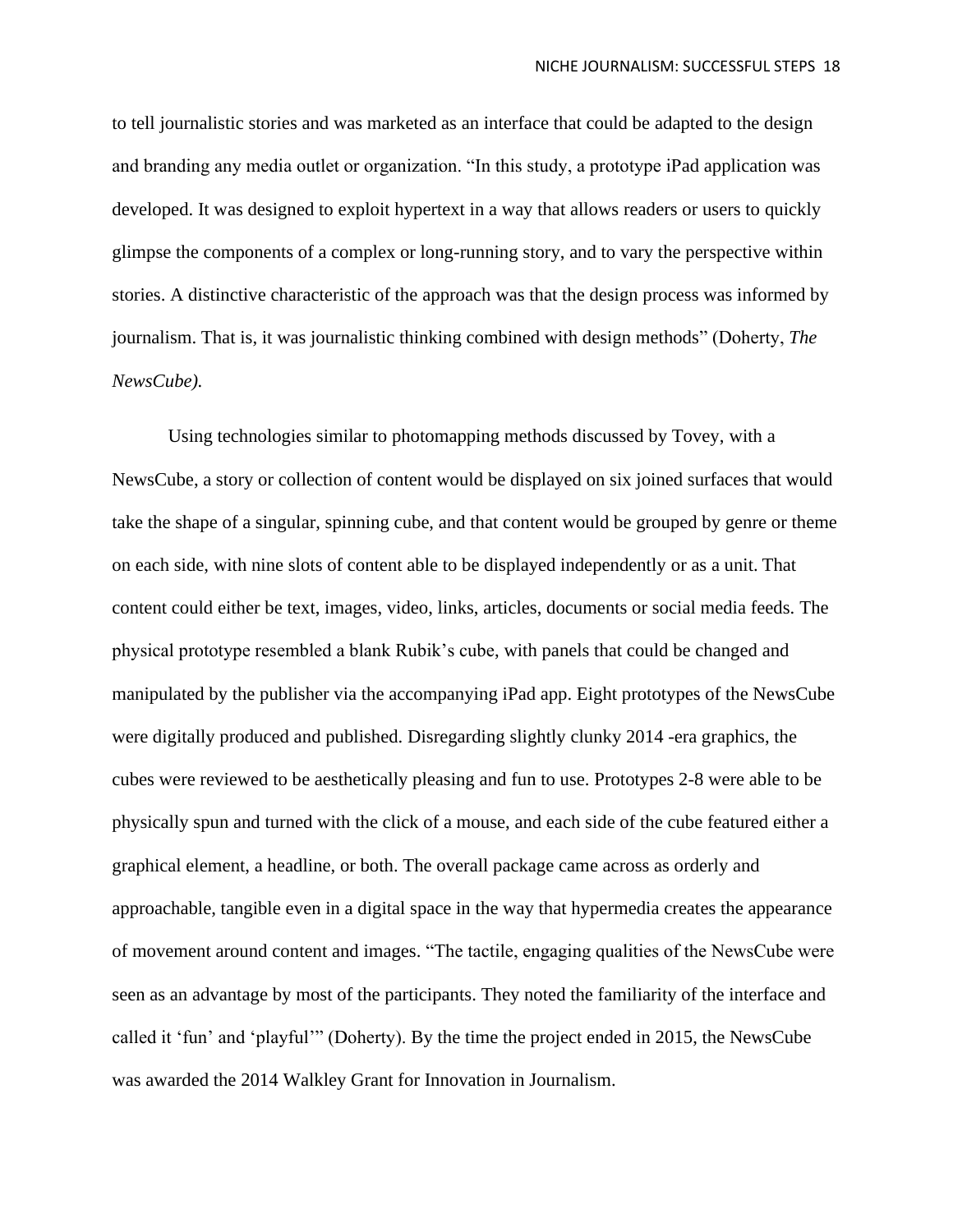to tell journalistic stories and was marketed as an interface that could be adapted to the design and branding any media outlet or organization. "In this study, a prototype iPad application was developed. It was designed to exploit hypertext in a way that allows readers or users to quickly glimpse the components of a complex or long-running story, and to vary the perspective within stories. A distinctive characteristic of the approach was that the design process was informed by journalism. That is, it was journalistic thinking combined with design methods" (Doherty, *The NewsCube).* 

Using technologies similar to photomapping methods discussed by Tovey, with a NewsCube, a story or collection of content would be displayed on six joined surfaces that would take the shape of a singular, spinning cube, and that content would be grouped by genre or theme on each side, with nine slots of content able to be displayed independently or as a unit. That content could either be text, images, video, links, articles, documents or social media feeds. The physical prototype resembled a blank Rubik's cube, with panels that could be changed and manipulated by the publisher via the accompanying iPad app. Eight prototypes of the NewsCube were digitally produced and published. Disregarding slightly clunky 2014 -era graphics, the cubes were reviewed to be aesthetically pleasing and fun to use. Prototypes 2-8 were able to be physically spun and turned with the click of a mouse, and each side of the cube featured either a graphical element, a headline, or both. The overall package came across as orderly and approachable, tangible even in a digital space in the way that hypermedia creates the appearance of movement around content and images. "The tactile, engaging qualities of the NewsCube were seen as an advantage by most of the participants. They noted the familiarity of the interface and called it 'fun' and 'playful'" (Doherty). By the time the project ended in 2015, the NewsCube was awarded the 2014 Walkley Grant for Innovation in Journalism.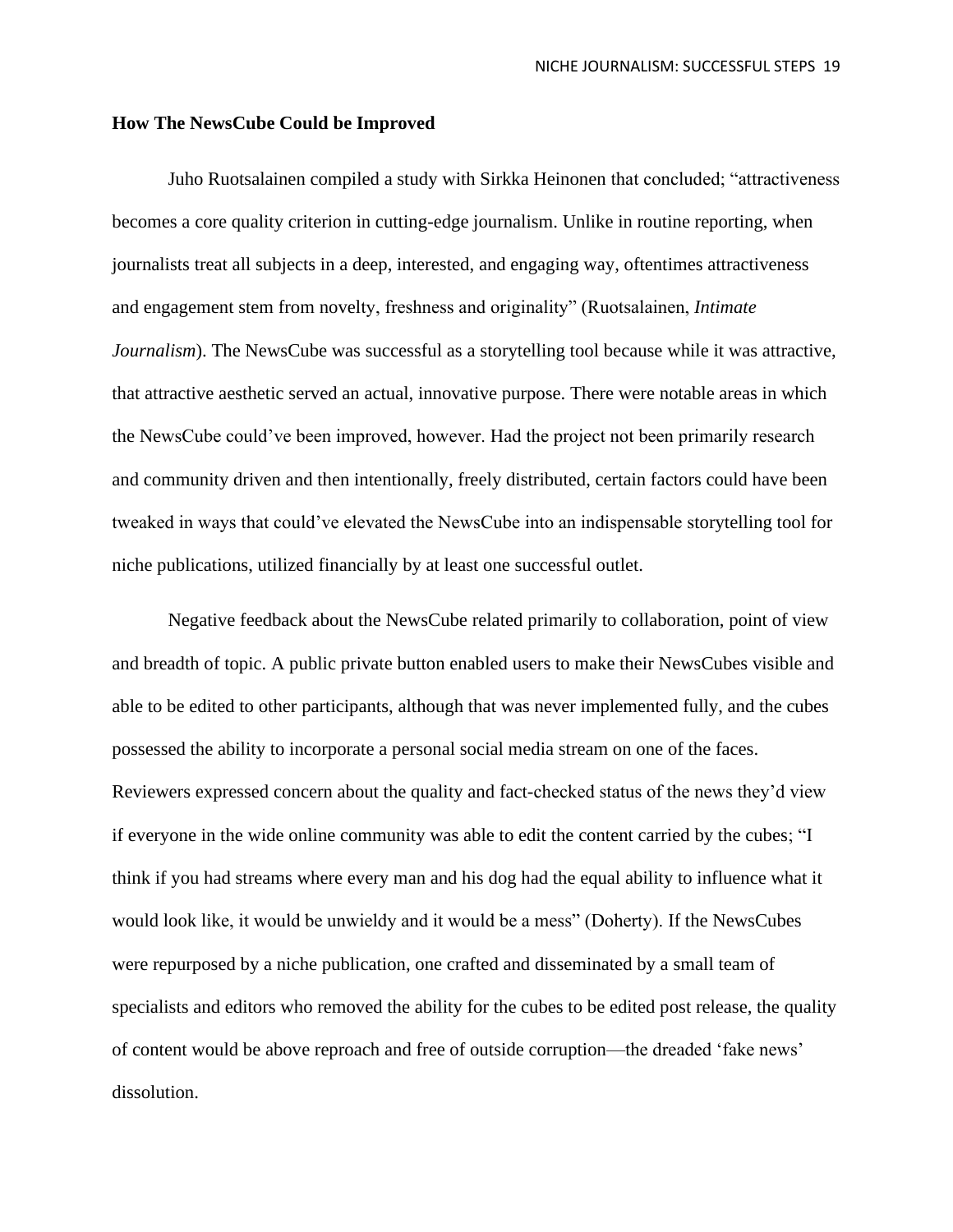## **How The NewsCube Could be Improved**

Juho Ruotsalainen compiled a study with Sirkka Heinonen that concluded; "attractiveness becomes a core quality criterion in cutting-edge journalism. Unlike in routine reporting, when journalists treat all subjects in a deep, interested, and engaging way, oftentimes attractiveness and engagement stem from novelty, freshness and originality" (Ruotsalainen, *Intimate Journalism*). The NewsCube was successful as a storytelling tool because while it was attractive, that attractive aesthetic served an actual, innovative purpose. There were notable areas in which the NewsCube could've been improved, however. Had the project not been primarily research and community driven and then intentionally, freely distributed, certain factors could have been tweaked in ways that could've elevated the NewsCube into an indispensable storytelling tool for niche publications, utilized financially by at least one successful outlet.

Negative feedback about the NewsCube related primarily to collaboration, point of view and breadth of topic. A public private button enabled users to make their NewsCubes visible and able to be edited to other participants, although that was never implemented fully, and the cubes possessed the ability to incorporate a personal social media stream on one of the faces. Reviewers expressed concern about the quality and fact-checked status of the news they'd view if everyone in the wide online community was able to edit the content carried by the cubes; "I think if you had streams where every man and his dog had the equal ability to influence what it would look like, it would be unwieldy and it would be a mess" (Doherty). If the NewsCubes were repurposed by a niche publication, one crafted and disseminated by a small team of specialists and editors who removed the ability for the cubes to be edited post release, the quality of content would be above reproach and free of outside corruption—the dreaded 'fake news' dissolution.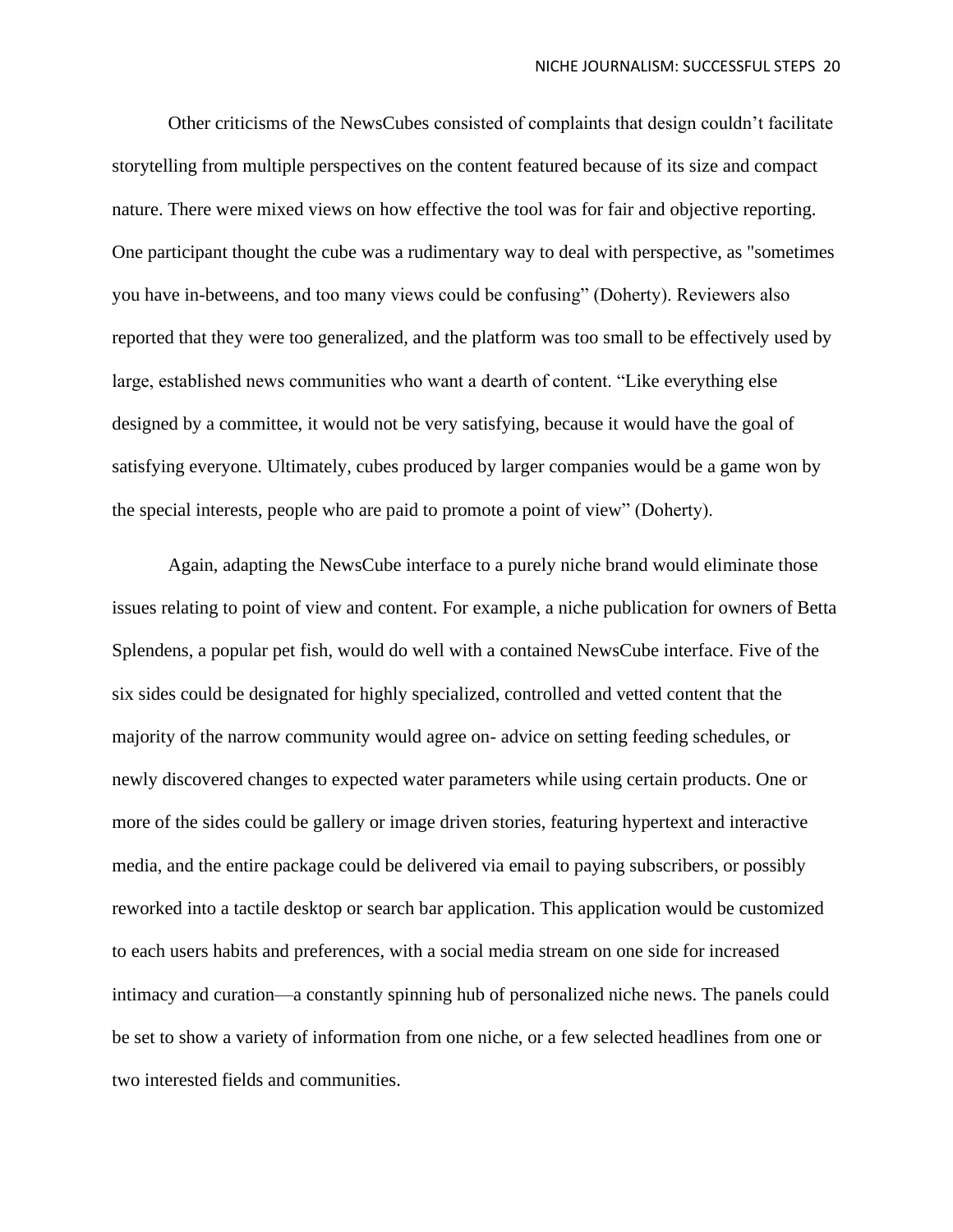Other criticisms of the NewsCubes consisted of complaints that design couldn't facilitate storytelling from multiple perspectives on the content featured because of its size and compact nature. There were mixed views on how effective the tool was for fair and objective reporting. One participant thought the cube was a rudimentary way to deal with perspective, as "sometimes you have in-betweens, and too many views could be confusing" (Doherty). Reviewers also reported that they were too generalized, and the platform was too small to be effectively used by large, established news communities who want a dearth of content. "Like everything else designed by a committee, it would not be very satisfying, because it would have the goal of satisfying everyone. Ultimately, cubes produced by larger companies would be a game won by the special interests, people who are paid to promote a point of view" (Doherty).

Again, adapting the NewsCube interface to a purely niche brand would eliminate those issues relating to point of view and content. For example, a niche publication for owners of Betta Splendens, a popular pet fish, would do well with a contained NewsCube interface. Five of the six sides could be designated for highly specialized, controlled and vetted content that the majority of the narrow community would agree on- advice on setting feeding schedules, or newly discovered changes to expected water parameters while using certain products. One or more of the sides could be gallery or image driven stories, featuring hypertext and interactive media, and the entire package could be delivered via email to paying subscribers, or possibly reworked into a tactile desktop or search bar application. This application would be customized to each users habits and preferences, with a social media stream on one side for increased intimacy and curation—a constantly spinning hub of personalized niche news. The panels could be set to show a variety of information from one niche, or a few selected headlines from one or two interested fields and communities.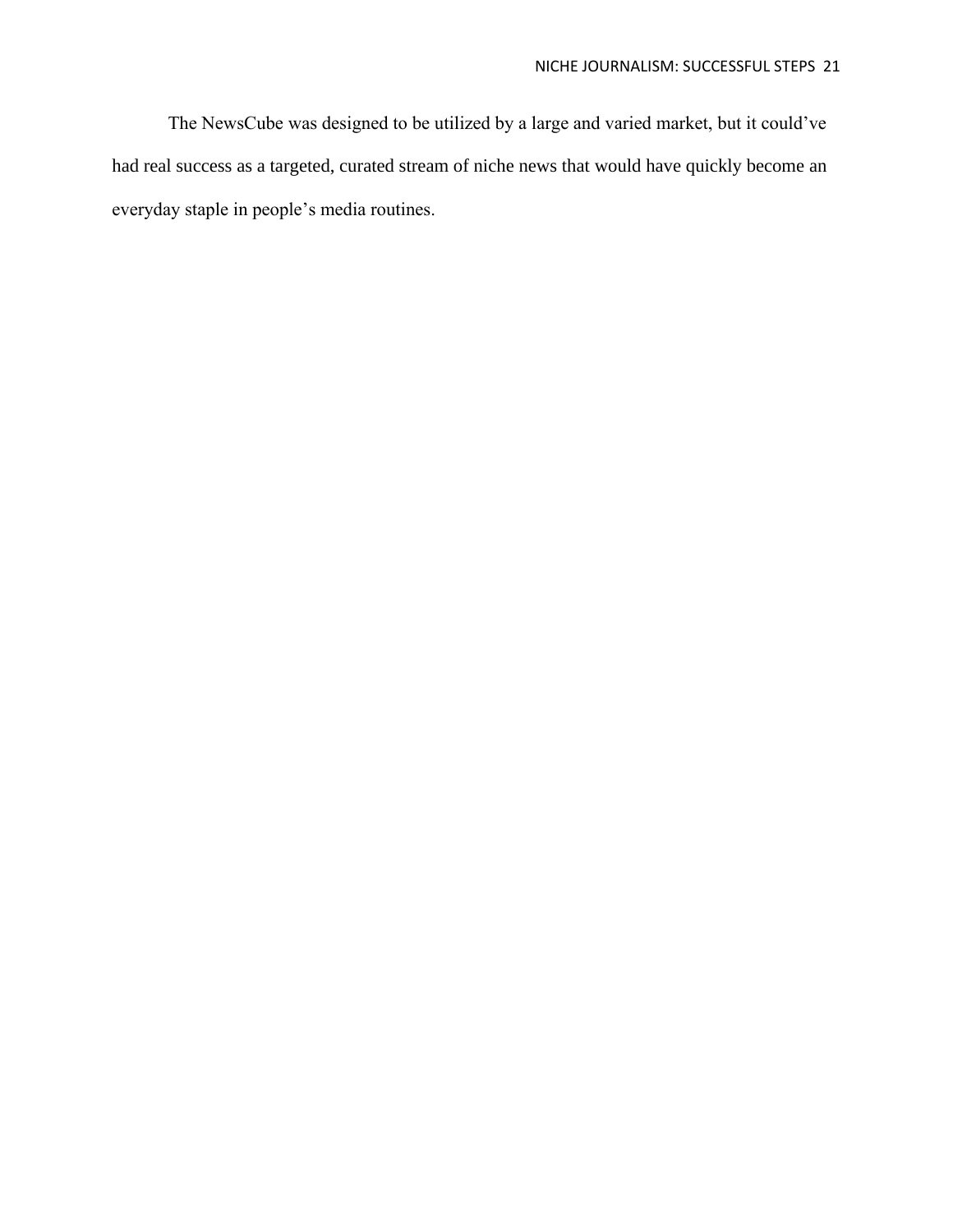The NewsCube was designed to be utilized by a large and varied market, but it could've had real success as a targeted, curated stream of niche news that would have quickly become an everyday staple in people's media routines.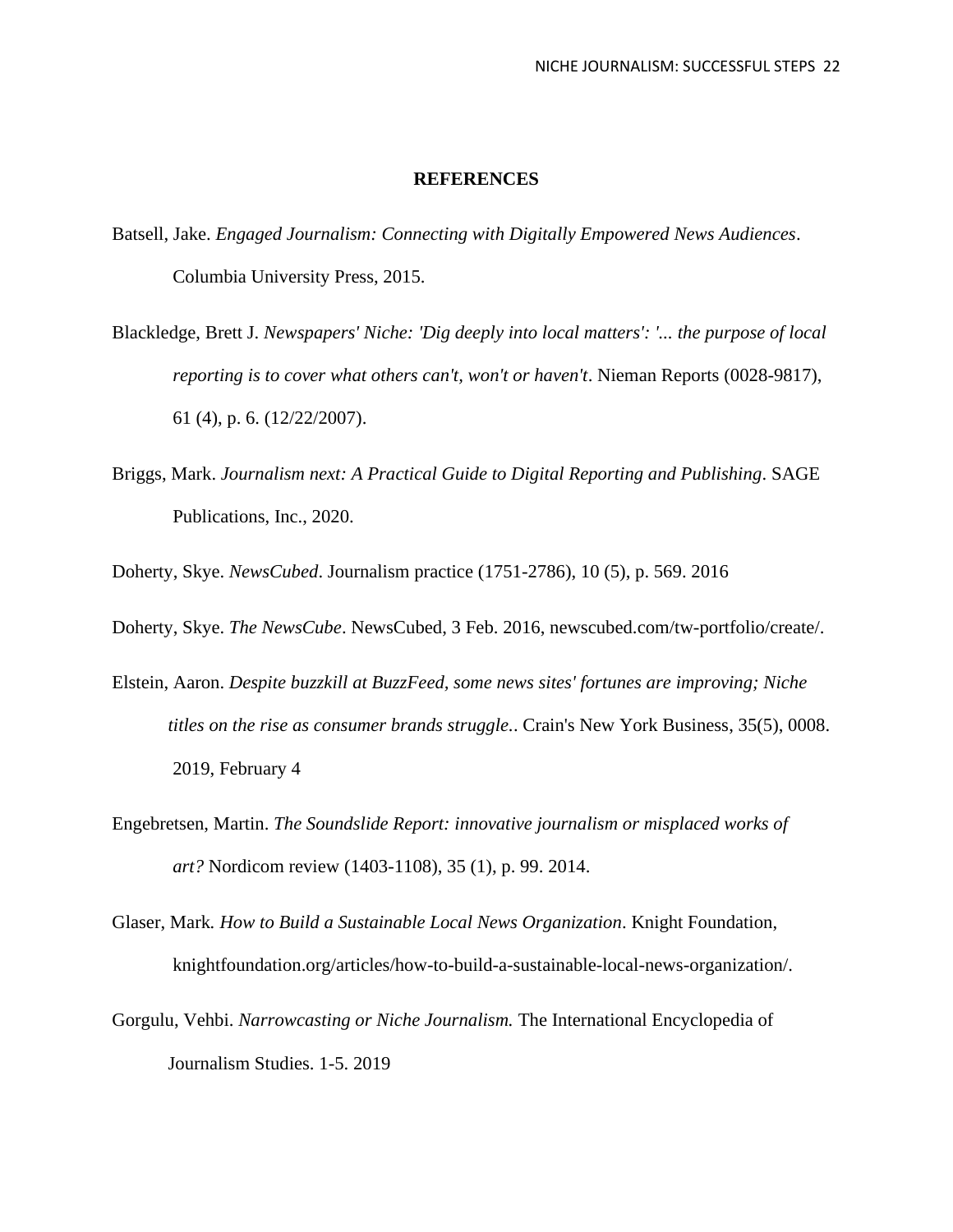## **REFERENCES**

- Batsell, Jake. *Engaged Journalism: Connecting with Digitally Empowered News Audiences*. Columbia University Press, 2015.
- Blackledge, Brett J. *Newspapers' Niche: 'Dig deeply into local matters': '... the purpose of local reporting is to cover what others can't, won't or haven't*. Nieman Reports (0028-9817), 61 (4), p. 6. (12/22/2007).
- Briggs, Mark. *Journalism next: A Practical Guide to Digital Reporting and Publishing*. SAGE Publications, Inc., 2020.
- Doherty, Skye. *NewsCubed*. Journalism practice (1751-2786), 10 (5), p. 569. 2016
- Doherty, Skye. *The NewsCube*. NewsCubed, 3 Feb. 2016, newscubed.com/tw-portfolio/create/.
- Elstein, Aaron. *Despite buzzkill at BuzzFeed, some news sites' fortunes are improving; Niche titles on the rise as consumer brands struggle.*. Crain's New York Business, 35(5), 0008. 2019, February 4
- Engebretsen, Martin. *The Soundslide Report: innovative journalism or misplaced works of art?* Nordicom review (1403-1108), 35 (1), p. 99. 2014.
- Glaser, Mark*. How to Build a Sustainable Local News Organization*. Knight Foundation, knightfoundation.org/articles/how-to-build-a-sustainable-local-news-organization/.
- Gorgulu, Vehbi. *Narrowcasting or Niche Journalism.* The International Encyclopedia of Journalism Studies. 1-5. 2019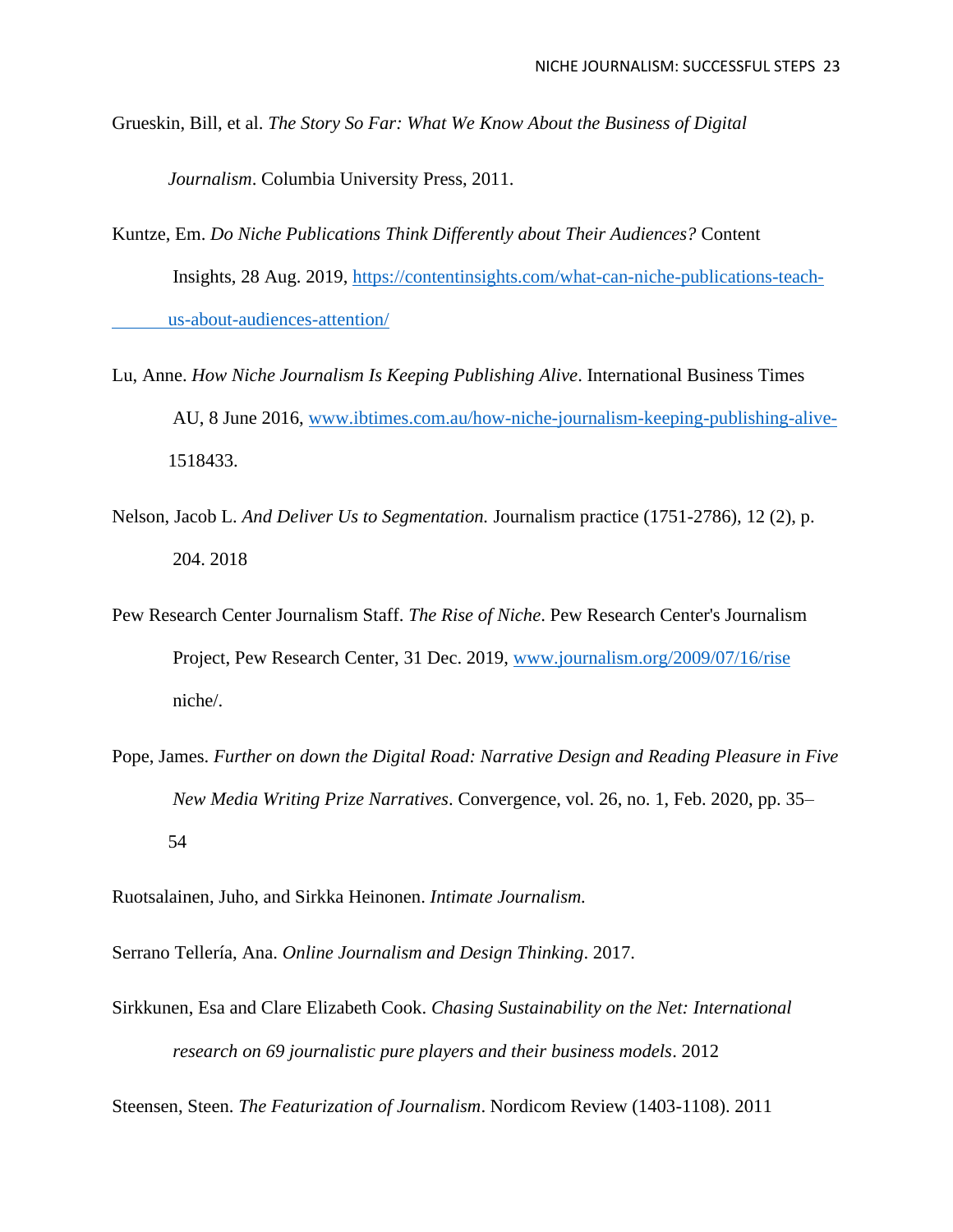Grueskin, Bill, et al. *The Story So Far: What We Know About the Business of Digital* 

*Journalism*. Columbia University Press, 2011.

- Kuntze, Em. *Do Niche Publications Think Differently about Their Audiences?* Content Insights, 28 Aug. 2019, [https://contentinsights.com/what-can-niche-publications-teach](https://contentinsights.com/what-can-niche-publications-teach-%09us-about-audiences-attention/)[us-about-audiences-attention/](https://contentinsights.com/what-can-niche-publications-teach-%09us-about-audiences-attention/)
- Lu, Anne. *How Niche Journalism Is Keeping Publishing Alive*. International Business Times AU, 8 June 2016, [www.ibtimes.com.au/how-niche-journalism-keeping-publishing-alive-](http://www.ibtimes.com.au/how-niche-journalism-keeping-publishing-alive-)1518433.
- Nelson, Jacob L. *And Deliver Us to Segmentation.* Journalism practice (1751-2786), 12 (2), p. 204. 2018
- Pew Research Center Journalism Staff. *The Rise of Niche*. Pew Research Center's Journalism Project, Pew Research Center, 31 Dec. 2019, [www.journalism.org/2009/07/16/rise](http://www.journalism.org/2009/07/16/rise) niche/.
- Pope, James. *Further on down the Digital Road: Narrative Design and Reading Pleasure in Five New Media Writing Prize Narratives*. Convergence, vol. 26, no. 1, Feb. 2020, pp. 35– 54

Ruotsalainen, Juho, and Sirkka Heinonen. *Intimate Journalism.*

Serrano Tellería, Ana. *Online Journalism and Design Thinking*. 2017.

Sirkkunen, Esa and Clare Elizabeth Cook. *Chasing Sustainability on the Net: International research on 69 journalistic pure players and their business models*. 2012

Steensen, Steen. *The Featurization of Journalism*. Nordicom Review (1403-1108). 2011